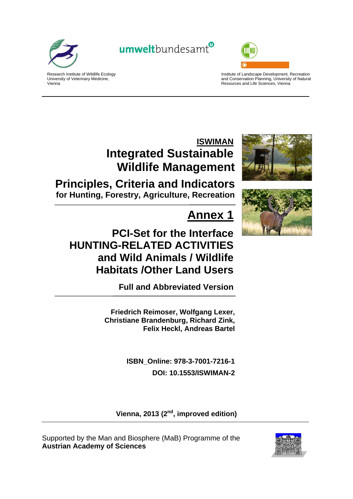

Vienna

Research Institute of Wildlife Ecology University of Veterinary Medicine,

umweltbundesamt<sup>®</sup>



Institute of Landscape Development, Recreation and Conservation Planning, University of Natural Resources and Life Sciences, Vienna

## **ISWIMAN Integrated Sustainable Wildlife Management**

**Principles, Criteria and Indicators for Hunting, Forestry, Agriculture, Recreation**

# **Annex 1**

## **PCI-Set for the Interface HUNTING-RELATED ACTIVITIES and Wild Animals / Wildlife Habitats /Other Land Users**

**Full and Abbreviated Version** 

**Friedrich Reimoser, Wolfgang Lexer, Christiane Brandenburg, Richard Zink, Felix Heckl, Andreas Bartel** 

> **ISBN\_Online: 978-3-7001-7216-1 DOI: 10.1553/ISWIMAN-2**

Vienna, 2013 (2<sup>nd</sup>, improved edition)

Supported by the Man and Biosphere (MaB) Programme of the **Austrian Academy of Sciences**



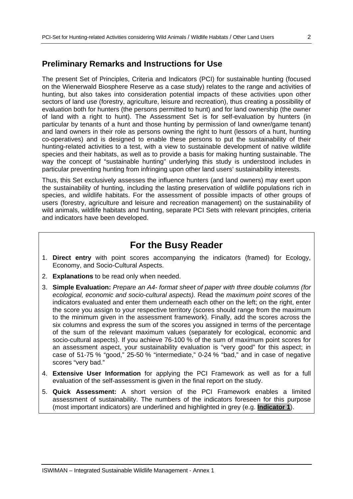## **Preliminary Remarks and Instructions for Use**

The present Set of Principles, Criteria and Indicators (PCI) for sustainable hunting (focused on the Wienerwald Biosphere Reserve as a case study) relates to the range and activities of hunting, but also takes into consideration potential impacts of these activities upon other sectors of land use (forestry, agriculture, leisure and recreation), thus creating a possibility of evaluation both for hunters (the persons permitted to hunt) and for land ownership (the owner of land with a right to hunt). The Assessment Set is for self-evaluation by hunters (in particular by tenants of a hunt and those hunting by permission of land owner/game tenant) and land owners in their role as persons owning the right to hunt (lessors of a hunt, hunting co-operatives) and is designed to enable these persons to put the sustainability of their hunting-related activities to a test, with a view to sustainable development of native wildlife species and their habitats, as well as to provide a basis for making hunting sustainable. The way the concept of "sustainable hunting" underlying this study is understood includes in particular preventing hunting from infringing upon other land users' sustainability interests.

Thus, this Set exclusively assesses the influence hunters (and land owners) may exert upon the sustainability of hunting, including the lasting preservation of wildlife populations rich in species, and wildlife habitats. For the assessment of possible impacts of other groups of users (forestry, agriculture and leisure and recreation management) on the sustainability of wild animals, wildlife habitats and hunting, separate PCI Sets with relevant principles, criteria and indicators have been developed.

## **For the Busy Reader**

- 1. **Direct entry** with point scores accompanying the indicators (framed) for Ecology, Economy, and Socio-Cultural Aspects.
- 2. **Explanations** to be read only when needed.
- 3. **Simple Evaluation:** *Prepare an A4- format sheet of paper with three double columns (for ecological, economic and socio-cultural aspects).* Read the *maximum point scores* of the indicators evaluated and enter them underneath each other on the left; on the right, enter the score you assign to your respective territory (scores should range from the maximum to the minimum given in the assessment framework). Finally, add the scores across the six columns and express the sum of the scores you assigned in terms of the percentage of the sum of the relevant maximum values (separately for ecological, economic and socio-cultural aspects). If you achieve 76-100 % of the sum of maximum point scores for an assessment aspect, your sustainability evaluation is "very good" for this aspect; in case of 51-75 % "good," 25-50 % "intermediate," 0-24 % "bad," and in case of negative scores "very bad."
- 4. **Extensive User Information** for applying the PCI Framework as well as for a full evaluation of the self-assessment is given in the final report on the study.
- 5. **Quick Assessment:** A short version of the PCI Framework enables a limited assessment of sustainability. The numbers of the indicators foreseen for this purpose (most important indicators) are underlined and highlighted in grey (e.g. **Indicator 1**).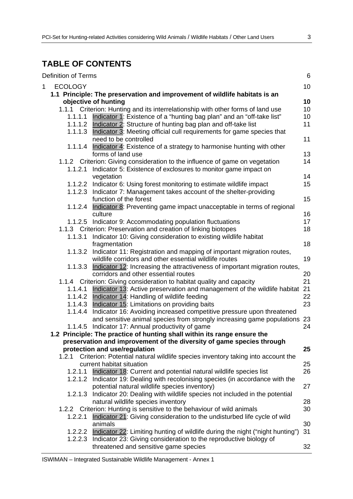## **TABLE OF CONTENTS**

|   | <b>Definition of Terms</b> |                                                                                       | $\,6$ |
|---|----------------------------|---------------------------------------------------------------------------------------|-------|
| 1 | <b>ECOLOGY</b>             |                                                                                       | 10    |
|   |                            | 1.1 Principle: The preservation and improvement of wildlife habitats is an            |       |
|   |                            | objective of hunting                                                                  | 10    |
|   |                            | 1.1.1 Criterion: Hunting and its interrelationship with other forms of land use       | 10    |
|   |                            | 1.1.1.1 Indicator 1: Existence of a "hunting bag plan" and an "off-take list"         | 10    |
|   |                            | 1.1.1.2 Indicator 2: Structure of hunting bag plan and off-take list                  | 11    |
|   | 1.1.1.3                    | Indicator 3: Meeting official cull requirements for game species that                 |       |
|   |                            | need to be controlled                                                                 | 11    |
|   | 1.1.1.4                    | Indicator 4: Existence of a strategy to harmonise hunting with other                  |       |
|   |                            | forms of land use                                                                     | 13    |
|   |                            | 1.1.2 Criterion: Giving consideration to the influence of game on vegetation          | 14    |
|   | 1.1.2.1                    | Indicator 5: Existence of exclosures to monitor game impact on                        |       |
|   |                            |                                                                                       | 14    |
|   |                            | vegetation                                                                            |       |
|   |                            | 1.1.2.2 Indicator 6: Using forest monitoring to estimate wildlife impact              | 15    |
|   |                            | 1.1.2.3 Indicator 7: Management takes account of the shelter-providing                |       |
|   |                            | function of the forest                                                                | 15    |
|   | 1.1.2.4                    | Indicator 8: Preventing game impact unacceptable in terms of regional                 |       |
|   |                            | culture                                                                               | 16    |
|   |                            | 1.1.2.5 Indicator 9: Accommodating population fluctuations                            | 17    |
|   |                            | 1.1.3 Criterion: Preservation and creation of linking biotopes                        | 18    |
|   | 1.1.3.1                    | Indicator 10: Giving consideration to existing wildlife habitat                       |       |
|   |                            | fragmentation                                                                         | 18    |
|   | 1.1.3.2                    | Indicator 11: Registration and mapping of important migration routes,                 |       |
|   |                            | wildlife corridors and other essential wildlife routes                                | 19    |
|   | 1.1.3.3                    | Indicator 12: Increasing the attractiveness of important migration routes,            |       |
|   |                            | corridors and other essential routes                                                  | 20    |
|   |                            | 1.1.4 Criterion: Giving consideration to habitat quality and capacity                 | 21    |
|   | 1.1.4.1                    | Indicator 13: Active preservation and management of the wildlife habitat              | 21    |
|   | 1.1.4.2                    | Indicator 14: Handling of wildlife feeding                                            | 22    |
|   | 1.1.4.3                    | Indicator 15: Limitations on providing baits                                          | 23    |
|   | 1.1.4.4                    | Indicator 16: Avoiding increased competitive pressure upon threatened                 |       |
|   |                            | and sensitive animal species from strongly increasing game populations 23             |       |
|   |                            | 1.1.4.5 Indicator 17: Annual productivity of game                                     | 24    |
|   |                            | 1.2 Principle: The practice of hunting shall within its range ensure the              |       |
|   |                            | preservation and improvement of the diversity of game species through                 |       |
|   |                            | protection and use/regulation                                                         | 25    |
|   | 1.2.1                      | Criterion: Potential natural wildlife species inventory taking into account the       |       |
|   |                            | current habitat situation                                                             | 25    |
|   | 1.2.1.1                    | Indicator 18: Current and potential natural wildlife species list                     | 26    |
|   |                            | 1.2.1.2 Indicator 19: Dealing with recolonising species (in accordance with the       |       |
|   |                            | potential natural wildlife species inventory)                                         | 27    |
|   | 1.2.1.3                    | Indicator 20: Dealing with wildlife species not included in the potential             |       |
|   |                            | natural wildlife species inventory                                                    | 28    |
|   |                            |                                                                                       | 30    |
|   |                            | 1.2.2 Criterion: Hunting is sensitive to the behaviour of wild animals                |       |
|   | 1.2.2.1                    | Indicator 21: Giving consideration to the undisturbed life cycle of wild              |       |
|   |                            | animals                                                                               | 30    |
|   |                            | 1.2.2.2 Indicator 22: Limiting hunting of wildlife during the night ("night hunting") | 31    |
|   |                            | 1.2.2.3 Indicator 23: Giving consideration to the reproductive biology of             |       |
|   |                            | threatened and sensitive game species                                                 | 32    |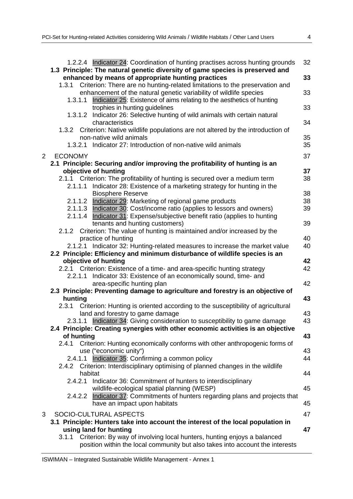| I |   |  |
|---|---|--|
|   | ٠ |  |
|   |   |  |

|                | 1.2.2.4 Indicator 24: Coordination of hunting practises across hunting grounds<br>1.3 Principle: The natural genetic diversity of game species is preserved and | 32 |
|----------------|-----------------------------------------------------------------------------------------------------------------------------------------------------------------|----|
|                | enhanced by means of appropriate hunting practices<br>1.3.1 Criterion: There are no hunting-related limitations to the preservation and                         | 33 |
|                | enhancement of the natural genetic variability of wildlife species<br>Indicator 25: Existence of aims relating to the aesthetics of hunting<br>1.3.1.1          | 33 |
|                | trophies in hunting guidelines<br>Indicator 26: Selective hunting of wild animals with certain natural<br>1.3.1.2                                               | 33 |
|                | characteristics<br>Criterion: Native wildlife populations are not altered by the introduction of<br>1.3.2                                                       | 34 |
|                | non-native wild animals                                                                                                                                         | 35 |
|                | 1.3.2.1 Indicator 27: Introduction of non-native wild animals                                                                                                   | 35 |
| $\overline{2}$ | <b>ECONOMY</b>                                                                                                                                                  | 37 |
|                | 2.1 Principle: Securing and/or improving the profitability of hunting is an                                                                                     |    |
|                | objective of hunting                                                                                                                                            | 37 |
|                | 2.1.1 Criterion: The profitability of hunting is secured over a medium term                                                                                     | 38 |
|                | Indicator 28: Existence of a marketing strategy for hunting in the<br>2.1.1.1                                                                                   |    |
|                | <b>Biosphere Reserve</b>                                                                                                                                        | 38 |
|                | Indicator 29: Marketing of regional game products<br>2.1.1.2                                                                                                    | 38 |
|                | 2.1.1.3 Indicator 30: Cost/income ratio (applies to lessors and owners)                                                                                         | 39 |
|                | 2.1.1.4 Indicator 31: Expense/subjective benefit ratio (applies to hunting                                                                                      |    |
|                | tenants and hunting customers)                                                                                                                                  | 39 |
|                | 2.1.2 Criterion: The value of hunting is maintained and/or increased by the                                                                                     |    |
|                | practice of hunting                                                                                                                                             | 40 |
|                | 2.1.2.1 Indicator 32: Hunting-related measures to increase the market value                                                                                     | 40 |
|                | 2.2 Principle: Efficiency and minimum disturbance of wildlife species is an<br>objective of hunting                                                             | 42 |
|                | 2.2.1 Criterion: Existence of a time- and area-specific hunting strategy                                                                                        | 42 |
|                | 2.2.1.1 Indicator 33: Existence of an economically sound, time- and                                                                                             |    |
|                | area-specific hunting plan                                                                                                                                      | 42 |
|                | 2.3 Principle: Preventing damage to agriculture and forestry is an objective of                                                                                 |    |
|                | hunting                                                                                                                                                         | 43 |
|                | 2.3.1 Criterion: Hunting is oriented according to the susceptibility of agricultural                                                                            |    |
|                | land and forestry to game damage                                                                                                                                | 43 |
|                | 2.3.1.1 Indicator 34: Giving consideration to susceptibility to game damage                                                                                     | 43 |
|                | 2.4 Principle: Creating synergies with other economic activities is an objective                                                                                |    |
|                | of hunting                                                                                                                                                      | 43 |
|                | Criterion: Hunting economically conforms with other anthropogenic forms of<br>2.4.1                                                                             |    |
|                | use ("economic unity")                                                                                                                                          | 43 |
|                | 2.4.1.1 Indicator 35: Confirming a common policy                                                                                                                | 44 |
|                | 2.4.2 Criterion: Interdisciplinary optimising of planned changes in the wildlife                                                                                |    |
|                | habitat<br>2.4.2.1                                                                                                                                              | 44 |
|                | Indicator 36: Commitment of hunters to interdisciplinary<br>wildlife-ecological spatial planning (WESP)                                                         | 45 |
|                | 2.4.2.2 Indicator 37: Commitments of hunters regarding plans and projects that                                                                                  |    |
|                | have an impact upon habitats                                                                                                                                    | 45 |
|                |                                                                                                                                                                 |    |
| 3              | SOCIO-CULTURAL ASPECTS                                                                                                                                          | 47 |
|                | 3.1 Principle: Hunters take into account the interest of the local population in<br>using land for hunting                                                      | 47 |
|                | 3.1.1 Criterion: By way of involving local hunters, hunting enjoys a balanced                                                                                   |    |
|                | position within the local community but also takes into account the interests                                                                                   |    |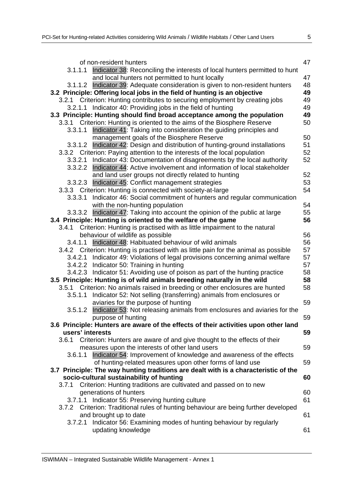| ۰, | v |    |    |  |
|----|---|----|----|--|
| i  |   |    | ۰. |  |
| w  |   | ۰. |    |  |

| of non-resident hunters                                                               | 47 |
|---------------------------------------------------------------------------------------|----|
| Indicator 38: Reconciling the interests of local hunters permitted to hunt<br>3.1.1.1 |    |
| and local hunters not permitted to hunt locally                                       | 47 |
| Indicator 39: Adequate consideration is given to non-resident hunters<br>3.1.1.2      | 48 |
| 3.2 Principle: Offering local jobs in the field of hunting is an objective            | 49 |
| Criterion: Hunting contributes to securing employment by creating jobs<br>3.2.1       | 49 |
| 3.2.1.1 Indicator 40: Providing jobs in the field of hunting                          | 49 |
| 3.3 Principle: Hunting should find broad acceptance among the population              | 49 |
| 3.3.1 Criterion: Hunting is oriented to the aims of the Biosphere Reserve             | 50 |
| Indicator 41: Taking into consideration the guiding principles and<br>3.3.1.1         |    |
| management goals of the Biosphere Reserve                                             | 50 |
| 3.3.1.2 Indicator 42: Design and distribution of hunting-ground installations         | 51 |
| 3.3.2 Criterion: Paying attention to the interests of the local population            | 52 |
| 3.3.2.1 Indicator 43: Documentation of disagreements by the local authority           | 52 |
| 3.3.2.2 Indicator 44: Active involvement and information of local stakeholder         |    |
| and land user groups not directly related to hunting                                  | 52 |
| 3.3.2.3 Indicator 45: Conflict management strategies                                  | 53 |
| 3.3.3 Criterion: Hunting is connected with society-at-large                           | 54 |
| 3.3.3.1 Indicator 46: Social commitment of hunters and regular communication          |    |
| with the non-hunting population                                                       | 54 |
| Indicator 47: Taking into account the opinion of the public at large<br>3.3.3.2       | 55 |
| 3.4 Principle: Hunting is oriented to the welfare of the game                         | 56 |
| Criterion: Hunting is practised with as little impairment to the natural<br>3.4.1     |    |
| behaviour of wildlife as possible                                                     | 56 |
| 3.4.1.1 Indicator 48: Habituated behaviour of wild animals                            | 56 |
| 3.4.2 Criterion: Hunting is practised with as little pain for the animal as possible  | 57 |
| 3.4.2.1 Indicator 49: Violations of legal provisions concerning animal welfare        | 57 |
| 3.4.2.2 Indicator 50: Training in hunting                                             | 57 |
| 3.4.2.3 Indicator 51: Avoiding use of poison as part of the hunting practice          | 58 |
| 3.5 Principle: Hunting is of wild animals breeding naturally in the wild              | 58 |
| 3.5.1 Criterion: No animals raised in breeding or other enclosures are hunted         | 58 |
| Indicator 52: Not selling (transferring) animals from enclosures or<br>3.5.1.1        |    |
| aviaries for the purpose of hunting                                                   | 59 |
| Indicator 53: Not releasing animals from enclosures and aviaries for the<br>3.5.1.2   |    |
| purpose of hunting                                                                    | 59 |
| 3.6 Principle: Hunters are aware of the effects of their activities upon other land   |    |
| users' interests                                                                      | 59 |
| 3.6.1 Criterion: Hunters are aware of and give thought to the effects of their        |    |
| measures upon the interests of other land users                                       | 59 |
| Indicator 54: Improvement of knowledge and awareness of the effects<br>3.6.1.1        |    |
| of hunting-related measures upon other forms of land use                              | 59 |
| 3.7 Principle: The way hunting traditions are dealt with is a characteristic of the   |    |
| socio-cultural sustainability of hunting                                              | 60 |
| Criterion: Hunting traditions are cultivated and passed on to new<br>3.7.1            |    |
| generations of hunters                                                                | 60 |
| 3.7.1.1 Indicator 55: Preserving hunting culture                                      | 61 |
| 3.7.2 Criterion: Traditional rules of hunting behaviour are being further developed   |    |
| and brought up to date                                                                | 61 |
| Indicator 56: Examining modes of hunting behaviour by regularly<br>3.7.2.1            |    |
| updating knowledge                                                                    | 61 |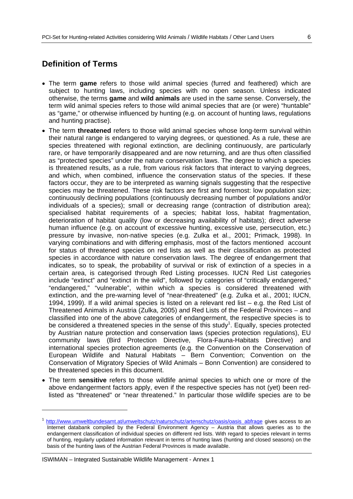## **Definition of Terms**

- The term **game** refers to those wild animal species (furred and feathered) which are subject to hunting laws, including species with no open season. Unless indicated otherwise, the terms **game** and **wild animals** are used in the same sense. Conversely, the term wild animal species refers to those wild animal species that are (or were) "huntable" as "game," or otherwise influenced by hunting (e.g. on account of hunting laws, regulations and hunting practise).
- The term **threatened** refers to those wild animal species whose long-term survival within their natural range is endangered to varying degrees, or questioned. As a rule, these are species threatened with regional extinction, are declining continuously, are particularly rare, or have temporarily disappeared and are now returning, and are thus often classified as "protected species" under the nature conservation laws. The degree to which a species is threatened results, as a rule, from various risk factors that interact to varying degrees, and which, when combined, influence the conservation status of the species. If these factors occur, they are to be interpreted as warning signals suggesting that the respective species may be threatened. These risk factors are first and foremost: low population size; continuously declining populations (continuously decreasing number of populations and/or individuals of a species); small or decreasing range (contraction of distribution area); specialised habitat requirements of a species; habitat loss, habitat fragmentation, deterioration of habitat quality (low or decreasing availability of habitats); direct adverse human influence (e.g. on account of excessive hunting, excessive use, persecution, etc.) pressure by invasive, non-native species (e.g. Zulka et al., 2001; Primack, 1998). In varying combinations and with differing emphasis, most of the factors mentioned account for status of threatened species on red lists as well as their classification as protected species in accordance with nature conservation laws. The degree of endangerment that indicates, so to speak, the probability of survival or risk of extinction of a species in a certain area, is categorised through Red Listing processes. IUCN Red List categories include "extinct" and "extinct in the wild", followed by categories of "critically endangered," "endangered," "vulnerable", within which a species is considered threatened with extinction, and the pre-warning level of "near-threatened" (e.g. Zulka et al., 2001; IUCN, 1994, 1999). If a wild animal species is listed on a relevant red list – e.g. the Red List of Threatened Animals in Austria (Zulka, 2005) and Red Lists of the Federal Provinces – and classified into one of the above categories of endangerment, the respective species is to be considered a threatened species in the sense of this study<sup>1</sup>. Equally, species protected by Austrian nature protection and conservation laws (species protection regulations), EU community laws (Bird Protection Directive, Flora-Fauna-Habitats Directive) and international species protection agreements (e.g. the Convention on the Conservation of European Wildlife and Natural Habitats – Bern Convention; Convention on the Conservation of Migratory Species of Wild Animals – Bonn Convention) are considered to be threatened species in this document.
- The term **sensitive** refers to those wildlife animal species to which one or more of the above endangerment factors apply, even if the respective species has not (yet) been redlisted as "threatened" or "near threatened." In particular those wildlife species are to be

ISWIMAN – Integrated Sustainable Wildlife Management - Annex 1

-

http://www.umweltbundesamt.at/umweltschutz/naturschutz/artenschutz/oasis/oasis\_abfrage gives access to an Internet databank compiled by the Federal Environment Agency – Austria that allows queries as to the endangerment classification of individual species on different red lists. With regard to species relevant in terms of hunting, regularly updated information relevant in terms of hunting laws (hunting and closed seasons) on the basis of the hunting laws of the Austrian Federal Provinces is made available.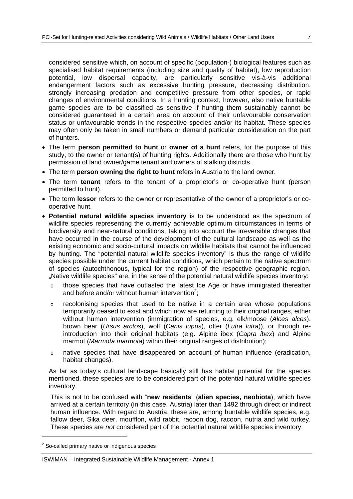considered sensitive which, on account of specific (population-) biological features such as specialised habitat requirements (including size and quality of habitat), low reproduction potential, low dispersal capacity, are particularly sensitive vis-à-vis additional endangerment factors such as excessive hunting pressure, decreasing distribution, strongly increasing predation and competitive pressure from other species, or rapid changes of environmental conditions. In a hunting context, however, also native huntable game species are to be classified as sensitive if hunting them sustainably cannot be considered guaranteed in a certain area on account of their unfavourable conservation status or unfavourable trends in the respective species and/or its habitat. These species may often only be taken in small numbers or demand particular consideration on the part of hunters.

- The term **person permitted to hunt** or **owner of a hunt** refers, for the purpose of this study, to the owner or tenant(s) of hunting rights. Additionally there are those who hunt by permission of land owner/game tenant and owners of stalking districts.
- The term **person owning the right to hunt** refers in Austria to the land owner.
- The term **tenant** refers to the tenant of a proprietor's or co-operative hunt (person permitted to hunt).
- The term **lessor** refers to the owner or representative of the owner of a proprietor's or cooperative hunt.
- **Potential natural wildlife species inventory** is to be understood as the spectrum of wildlife species representing the currently achievable optimum circumstances in terms of biodiversity and near-natural conditions, taking into account the irreversible changes that have occurred in the course of the development of the cultural landscape as well as the existing economic and socio-cultural impacts on wildlife habitats that cannot be influenced by hunting. The "potential natural wildlife species inventory" is thus the range of wildlife species possible under the current habitat conditions, which pertain to the native spectrum of species (autochthonous, typical for the region) of the respective geographic region. "Native wildlife species" are, in the sense of the potential natural wildlife species inventory:
	- o those species that have outlasted the latest Ice Age or have immigrated thereafter and before and/or without human intervention<sup>2</sup>;
	- $\circ$  recolonising species that used to be native in a certain area whose populations temporarily ceased to exist and which now are returning to their original ranges, either without human intervention (immigration of species, e.g. elk/moose (*Alces alces*), brown bear (*Ursus arctos*), wolf (*Canis lupus*), otter (*Lutra lutra*)), or through reintroduction into their original habitats (e.g. Alpine ibex (*Capra ibex*) and Alpine marmot (*Marmota marmota*) within their original ranges of distribution);
	- o native species that have disappeared on account of human influence (eradication, habitat changes).

As far as today's cultural landscape basically still has habitat potential for the species mentioned, these species are to be considered part of the potential natural wildlife species inventory.

This is not to be confused with "**new residents**" (**alien species, neobiota**), which have arrived at a certain territory (in this case, Austria) later than 1492 through direct or indirect human influence. With regard to Austria, these are, among huntable wildlife species, e.g. fallow deer, Sika deer, moufflon, wild rabbit, racoon dog, racoon, nutria and wild turkey. These species are *not* considered part of the potential natural wildlife species inventory.

-

 $2$  So-called primary native or indigenous species

ISWIMAN – Integrated Sustainable Wildlife Management - Annex 1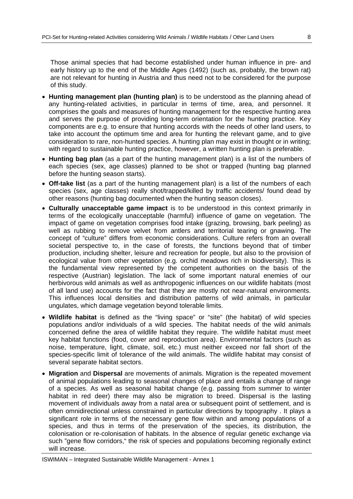Those animal species that had become established under human influence in pre- and early history up to the end of the Middle Ages (1492) (such as, probably, the brown rat) are not relevant for hunting in Austria and thus need not to be considered for the purpose of this study.

- **Hunting management plan (hunting plan)** is to be understood as the planning ahead of any hunting-related activities, in particular in terms of time, area, and personnel. It comprises the goals and measures of hunting management for the respective hunting area and serves the purpose of providing long-term orientation for the hunting practice. Key components are e.g. to ensure that hunting accords with the needs of other land users, to take into account the optimum time and area for hunting the relevant game, and to give consideration to rare, non-hunted species. A hunting plan may exist in thought or in writing; with regard to sustainable hunting practice, however, a written hunting plan is preferable.
- **Hunting bag plan** (as a part of the hunting management plan) is a list of the numbers of each species (sex, age classes) planned to be shot or trapped (hunting bag planned before the hunting season starts).
- **Off-take list** (as a part of the hunting management plan) is a list of the numbers of each species (sex, age classes) really shot/trapped/killed by traffic accidents/ found dead by other reasons (hunting bag documented when the hunting season closes).
- **Culturally unacceptable game impact** is to be understood in this context primarily in terms of the ecologically unacceptable (harmful) influence of game on vegetation. The impact of game on vegetation comprises food intake (grazing, browsing, bark peeling) as well as rubbing to remove velvet from antlers and territorial tearing or gnawing. The concept of "culture" differs from economic considerations. Culture refers from an overall societal perspective to, in the case of forests, the functions beyond that of timber production, including shelter, leisure and recreation for people, but also to the provision of ecological value from other vegetation (e.g. orchid meadows rich in biodiversity). This is the fundamental view represented by the competent authorities on the basis of the respective (Austrian) legislation. The lack of some important natural enemies of our herbivorous wild animals as well as anthropogenic influences on our wildlife habitats (most of all land use) accounts for the fact that they are mostly not near-natural environments. This influences local densities and distribution patterns of wild animals, in particular ungulates, which damage vegetation beyond tolerable limits.
- **Wildlife habitat** is defined as the "living space" or "site" (the habitat) of wild species populations and/or individuals of a wild species. The habitat needs of the wild animals concerned define the area of wildlife habitat they require. The wildlife habitat must meet key habitat functions (food, cover and reproduction area). Environmental factors (such as noise, temperature, light, climate, soil, etc.) must neither exceed nor fall short of the species-specific limit of tolerance of the wild animals. The wildlife habitat may consist of several separate habitat sectors.
- **Migration** and **Dispersal** are movements of animals. Migration is the repeated movement of animal populations leading to seasonal changes of place and entails a change of range of a species. As well as seasonal habitat change (e.g. passing from summer to winter habitat in red deer) there may also be migration to breed. Dispersal is the lasting movement of individuals away from a natal area or subsequent point of settlement, and is often omnidirectional unless constrained in particular directions by topography . It plays a significant role in terms of the necessary gene flow within and among populations of a species, and thus in terms of the preservation of the species, its distribution, the colonisation or re-colonisation of habitats. In the absence of regular genetic exchange via such "gene flow corridors," the risk of species and populations becoming regionally extinct will increase.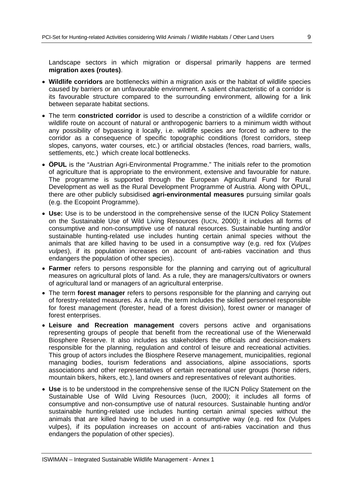Landscape sectors in which migration or dispersal primarily happens are termed **migration axes (routes)**.

- **Wildlife corridors** are bottlenecks within a migration axis or the habitat of wildlife species caused by barriers or an unfavourable environment. A salient characteristic of a corridor is its favourable structure compared to the surrounding environment, allowing for a link between separate habitat sections.
- The term **constricted corridor** is used to describe a constriction of a wildlife corridor or wildlife route on account of natural or anthropogenic barriers to a minimum width without any possibility of bypassing it locally, i.e. wildlife species are forced to adhere to the corridor as a consequence of specific topographic conditions (forest corridors, steep slopes, canyons, water courses, etc.) or artificial obstacles (fences, road barriers, walls, settlements, etc.) which create local bottlenecks.
- **ÖPUL** is the "Austrian Agri-Environmental Programme." The initials refer to the promotion of agriculture that is appropriate to the environment, extensive and favourable for nature. The programme is supported through the European Agricultural Fund for Rural Development as well as the Rural Development Programme of Austria. Along with ÖPUL, there are other publicly subsidised **agri-environmental measures** pursuing similar goals (e.g. the Ecopoint Programme).
- **Use:** Use is to be understood in the comprehensive sense of the IUCN Policy Statement on the Sustainable Use of Wild Living Resources (IUCN, 2000); it includes all forms of consumptive and non-consumptive use of natural resources. Sustainable hunting and/or sustainable hunting-related use includes hunting certain animal species without the animals that are killed having to be used in a consumptive way (e.g. red fox (*Vulpes vulpes*), if its population increases on account of anti-rabies vaccination and thus endangers the population of other species).
- **Farmer** refers to persons responsible for the planning and carrying out of agricultural measures on agricultural plots of land. As a rule, they are managers/cultivators or owners of agricultural land or managers of an agricultural enterprise.
- The term **forest manager** refers to persons responsible for the planning and carrying out of forestry-related measures. As a rule, the term includes the skilled personnel responsible for forest management (forester, head of a forest division), forest owner or manager of forest enterprises.
- **Leisure and Recreation management** covers persons active and organisations representing groups of people that benefit from the recreational use of the Wienerwald Biosphere Reserve. It also includes as stakeholders the officials and decision-makers responsible for the planning, regulation and control of leisure and recreational activities. This group of actors includes the Biosphere Reserve management, municipalities, regional managing bodies, tourism federations and associations, alpine associations, sports associations and other representatives of certain recreational user groups (horse riders, mountain bikers, hikers, etc.), land owners and representatives of relevant authorities.
- **Use** is to be understood in the comprehensive sense of the IUCN Policy Statement on the Sustainable Use of Wild Living Resources (Iucn, 2000); it includes all forms of consumptive and non-consumptive use of natural resources. Sustainable hunting and/or sustainable hunting-related use includes hunting certain animal species without the animals that are killed having to be used in a consumptive way (e.g. red fox (Vulpes vulpes), if its population increases on account of anti-rabies vaccination and thus endangers the population of other species).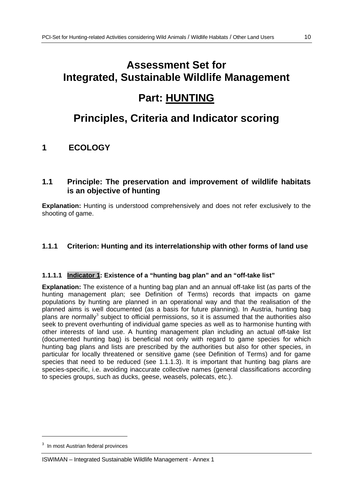# **Assessment Set for Integrated, Sustainable Wildlife Management**

## **Part: HUNTING**

## **Principles, Criteria and Indicator scoring**

## **1 ECOLOGY**

## **1.1 Principle: The preservation and improvement of wildlife habitats is an objective of hunting**

**Explanation:** Hunting is understood comprehensively and does not refer exclusively to the shooting of game.

## **1.1.1 Criterion: Hunting and its interrelationship with other forms of land use**

## **1.1.1.1 Indicator 1: Existence of a "hunting bag plan" and an "off-take list"**

**Explanation:** The existence of a hunting bag plan and an annual off-take list (as parts of the hunting management plan; see Definition of Terms) records that impacts on game populations by hunting are planned in an operational way and that the realisation of the planned aims is well documented (as a basis for future planning). In Austria, hunting bag plans are normally<sup>3</sup> subject to official permissions, so it is assumed that the authorities also seek to prevent overhunting of individual game species as well as to harmonise hunting with other interests of land use. A hunting management plan including an actual off-take list (documented hunting bag) is beneficial not only with regard to game species for which hunting bag plans and lists are prescribed by the authorities but also for other species, in particular for locally threatened or sensitive game (see Definition of Terms) and for game species that need to be reduced (see 1.1.1.3). It is important that hunting bag plans are species-specific, i.e. avoiding inaccurate collective names (general classifications according to species groups, such as ducks, geese, weasels, polecats, etc.).

-

<sup>3</sup> In most Austrian federal provinces

ISWIMAN – Integrated Sustainable Wildlife Management - Annex 1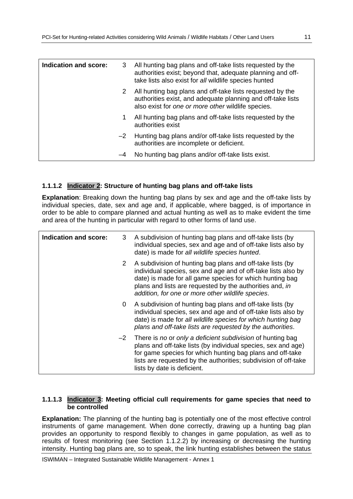| Indication and score: | 3    | All hunting bag plans and off-take lists requested by the<br>authorities exist; beyond that, adequate planning and off-<br>take lists also exist for all wildlife species hunted |
|-----------------------|------|----------------------------------------------------------------------------------------------------------------------------------------------------------------------------------|
|                       | 2    | All hunting bag plans and off-take lists requested by the<br>authorities exist, and adequate planning and off-take lists<br>also exist for one or more other wildlife species.   |
|                       | 1    | All hunting bag plans and off-take lists requested by the<br>authorities exist                                                                                                   |
|                       | $-2$ | Hunting bag plans and/or off-take lists requested by the<br>authorities are incomplete or deficient.                                                                             |
|                       | -4   | No hunting bag plans and/or off-take lists exist.                                                                                                                                |

#### **1.1.1.2 Indicator 2: Structure of hunting bag plans and off-take lists**

**Explanation**: Breaking down the hunting bag plans by sex and age and the off-take lists by individual species, date, sex and age and, if applicable, where bagged, is of importance in order to be able to compare planned and actual hunting as well as to make evident the time and area of the hunting in particular with regard to other forms of land use.

| Indication and score: | 3    | A subdivision of hunting bag plans and off-take lists (by<br>individual species, sex and age and of off-take lists also by<br>date) is made for all wildlife species hunted.                                                                                                                            |
|-----------------------|------|---------------------------------------------------------------------------------------------------------------------------------------------------------------------------------------------------------------------------------------------------------------------------------------------------------|
|                       | 2    | A subdivision of hunting bag plans and off-take lists (by<br>individual species, sex and age and of off-take lists also by<br>date) is made for all game species for which hunting bag<br>plans and lists are requested by the authorities and, in<br>addition, for one or more other wildlife species. |
|                       | 0    | A subdivision of hunting bag plans and off-take lists (by<br>individual species, sex and age and of off-take lists also by<br>date) is made for all wildlife species for which hunting bag<br>plans and off-take lists are requested by the authorities.                                                |
|                       | $-2$ | There is no or only a deficient subdivision of hunting bag<br>plans and off-take lists (by individual species, sex and age)<br>for game species for which hunting bag plans and off-take<br>lists are requested by the authorities; subdivision of off-take<br>lists by date is deficient.              |

#### **1.1.1.3 Indicator 3: Meeting official cull requirements for game species that need to be controlled**

**Explanation:** The planning of the hunting bag is potentially one of the most effective control instruments of game management. When done correctly, drawing up a hunting bag plan provides an opportunity to respond flexibly to changes in game population, as well as to results of forest monitoring (see Section 1.1.2.2) by increasing or decreasing the hunting intensity. Hunting bag plans are, so to speak, the link hunting establishes between the status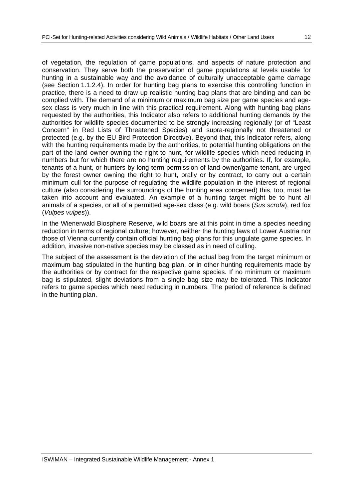of vegetation, the regulation of game populations, and aspects of nature protection and conservation. They serve both the preservation of game populations at levels usable for hunting in a sustainable way and the avoidance of culturally unacceptable game damage (see Section 1.1.2.4). In order for hunting bag plans to exercise this controlling function in practice, there is a need to draw up realistic hunting bag plans that are binding and can be complied with. The demand of a minimum or maximum bag size per game species and agesex class is very much in line with this practical requirement. Along with hunting bag plans requested by the authorities, this Indicator also refers to additional hunting demands by the authorities for wildlife species documented to be strongly increasing regionally (or of "Least Concern" in Red Lists of Threatened Species) and supra-regionally not threatened or protected (e.g. by the EU Bird Protection Directive). Beyond that, this Indicator refers, along with the hunting requirements made by the authorities, to potential hunting obligations on the part of the land owner owning the right to hunt, for wildlife species which need reducing in numbers but for which there are no hunting requirements by the authorities. If, for example, tenants of a hunt, or hunters by long-term permission of land owner/game tenant, are urged by the forest owner owning the right to hunt, orally or by contract, to carry out a certain minimum cull for the purpose of regulating the wildlife population in the interest of regional culture (also considering the surroundings of the hunting area concerned) this, too, must be taken into account and evaluated. An example of a hunting target might be to hunt all animals of a species, or all of a permitted age-sex class (e.g. wild boars (*Sus scrofa*), red fox (*Vulpes vulpes*)).

In the Wienerwald Biosphere Reserve, wild boars are at this point in time a species needing reduction in terms of regional culture; however, neither the hunting laws of Lower Austria nor those of Vienna currently contain official hunting bag plans for this ungulate game species. In addition, invasive non-native species may be classed as in need of culling.

The subject of the assessment is the deviation of the actual bag from the target minimum or maximum bag stipulated in the hunting bag plan, or in other hunting requirements made by the authorities or by contract for the respective game species. If no minimum or maximum bag is stipulated, slight deviations from a single bag size may be tolerated. This Indicator refers to game species which need reducing in numbers. The period of reference is defined in the hunting plan.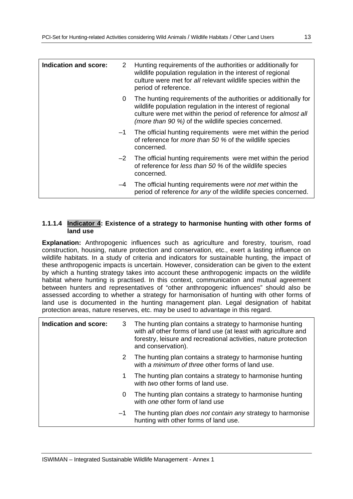| Indication and score: | 2            | Hunting requirements of the authorities or additionally for<br>wildlife population regulation in the interest of regional<br>culture were met for all relevant wildlife species within the<br>period of reference.                                     |
|-----------------------|--------------|--------------------------------------------------------------------------------------------------------------------------------------------------------------------------------------------------------------------------------------------------------|
|                       | $\mathbf{0}$ | The hunting requirements of the authorities or additionally for<br>wildlife population regulation in the interest of regional<br>culture were met within the period of reference for almost all<br>(more than 90 %) of the wildlife species concerned. |
|                       | $-1$         | The official hunting requirements were met within the period<br>of reference for <i>more than 50 %</i> of the wildlife species<br>concerned.                                                                                                           |
|                       |              | -2 The official hunting requirements were met within the period<br>of reference for less than 50 % of the wildlife species<br>concerned.                                                                                                               |
|                       | -4           | The official hunting requirements were <i>not met</i> within the<br>period of reference for any of the wildlife species concerned.                                                                                                                     |

## **1.1.1.4 Indicator 4: Existence of a strategy to harmonise hunting with other forms of land use**

**Explanation:** Anthropogenic influences such as agriculture and forestry, tourism, road construction, housing, nature protection and conservation, etc., exert a lasting influence on wildlife habitats. In a study of criteria and indicators for sustainable hunting, the impact of these anthropogenic impacts is uncertain. However, consideration can be given to the extent by which a hunting strategy takes into account these anthropogenic impacts on the wildlife habitat where hunting is practised. In this context, communication and mutual agreement between hunters and representatives of "other anthropogenic influences" should also be assessed according to whether a strategy for harmonisation of hunting with other forms of land use is documented in the hunting management plan. Legal designation of habitat protection areas, nature reserves, etc. may be used to advantage in this regard.

| Indication and score: | 3    | The hunting plan contains a strategy to harmonise hunting<br>with all other forms of land use (at least with agriculture and<br>forestry, leisure and recreational activities, nature protection<br>and conservation). |
|-----------------------|------|------------------------------------------------------------------------------------------------------------------------------------------------------------------------------------------------------------------------|
|                       | 2    | The hunting plan contains a strategy to harmonise hunting<br>with a minimum of three other forms of land use.                                                                                                          |
|                       | 1    | The hunting plan contains a strategy to harmonise hunting<br>with two other forms of land use.                                                                                                                         |
|                       | 0    | The hunting plan contains a strategy to harmonise hunting<br>with one other form of land use                                                                                                                           |
|                       | $-1$ | The hunting plan <i>does not contain any</i> strategy to harmonise<br>hunting with other forms of land use.                                                                                                            |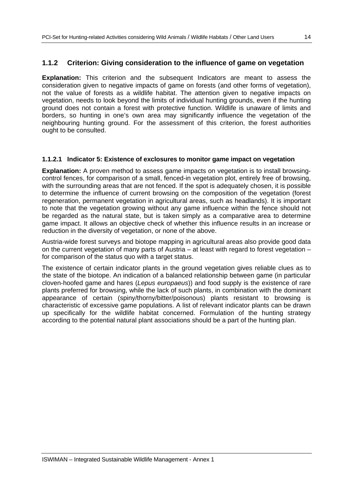## **1.1.2 Criterion: Giving consideration to the influence of game on vegetation**

**Explanation:** This criterion and the subsequent Indicators are meant to assess the consideration given to negative impacts of game on forests (and other forms of vegetation), not the value of forests as a wildlife habitat. The attention given to negative impacts on vegetation, needs to look beyond the limits of individual hunting grounds, even if the hunting ground does not contain a forest with protective function. Wildlife is unaware of limits and borders, so hunting in one's own area may significantly influence the vegetation of the neighbouring hunting ground. For the assessment of this criterion, the forest authorities ought to be consulted.

#### **1.1.2.1 Indicator 5: Existence of exclosures to monitor game impact on vegetation**

**Explanation:** A proven method to assess game impacts on vegetation is to install browsingcontrol fences, for comparison of a small, fenced-in vegetation plot, entirely free of browsing, with the surrounding areas that are not fenced. If the spot is adequately chosen, it is possible to determine the influence of current browsing on the composition of the vegetation (forest regeneration, permanent vegetation in agricultural areas, such as headlands). It is important to note that the vegetation growing without any game influence within the fence should not be regarded as the natural state, but is taken simply as a comparative area to determine game impact. It allows an objective check of whether this influence results in an increase or reduction in the diversity of vegetation, or none of the above.

Austria-wide forest surveys and biotope mapping in agricultural areas also provide good data on the current vegetation of many parts of Austria – at least with regard to forest vegetation – for comparison of the status quo with a target status.

The existence of certain indicator plants in the ground vegetation gives reliable clues as to the state of the biotope. An indication of a balanced relationship between game (in particular cloven-hoofed game and hares (*Lepus europaeus*)) and food supply is the existence of rare plants preferred for browsing, while the lack of such plants, in combination with the dominant appearance of certain (spiny/thorny/bitter/poisonous) plants resistant to browsing is characteristic of excessive game populations. A list of relevant indicator plants can be drawn up specifically for the wildlife habitat concerned. Formulation of the hunting strategy according to the potential natural plant associations should be a part of the hunting plan.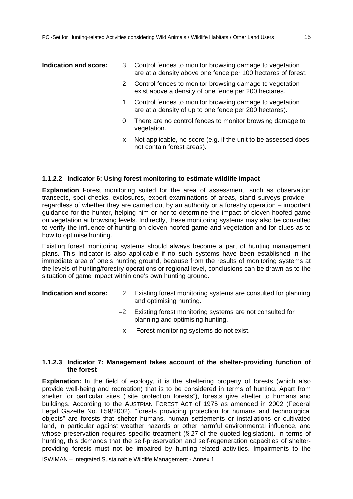| Indication and score: |    | 3 Control fences to monitor browsing damage to vegetation<br>are at a density above one fence per 100 hectares of forest. |
|-----------------------|----|---------------------------------------------------------------------------------------------------------------------------|
|                       | 2  | Control fences to monitor browsing damage to vegetation<br>exist above a density of one fence per 200 hectares.           |
|                       | 1. | Control fences to monitor browsing damage to vegetation<br>are at a density of up to one fence per 200 hectares).         |
|                       | 0  | There are no control fences to monitor browsing damage to<br>vegetation.                                                  |
|                       | x. | Not applicable, no score (e.g. if the unit to be assessed does<br>not contain forest areas).                              |

#### **1.1.2.2 Indicator 6: Using forest monitoring to estimate wildlife impact**

**Explanation** Forest monitoring suited for the area of assessment, such as observation transects, spot checks, exclosures, expert examinations of areas, stand surveys provide – regardless of whether they are carried out by an authority or a forestry operation – important guidance for the hunter, helping him or her to determine the impact of cloven-hoofed game on vegetation at browsing levels. Indirectly, these monitoring systems may also be consulted to verify the influence of hunting on cloven-hoofed game and vegetation and for clues as to how to optimise hunting.

Existing forest monitoring systems should always become a part of hunting management plans. This Indicator is also applicable if no such systems have been established in the immediate area of one's hunting ground, because from the results of monitoring systems at the levels of hunting/forestry operations or regional level, conclusions can be drawn as to the situation of game impact within one's own hunting ground.

| Indication and score: | 2  | Existing forest monitoring systems are consulted for planning<br>and optimising hunting.          |
|-----------------------|----|---------------------------------------------------------------------------------------------------|
|                       |    | $-2$ Existing forest monitoring systems are not consulted for<br>planning and optimising hunting. |
|                       | X. | Forest monitoring systems do not exist.                                                           |

#### **1.1.2.3 Indicator 7: Management takes account of the shelter-providing function of the forest**

**Explanation:** In the field of ecology, it is the sheltering property of forests (which also provide well-being and recreation) that is to be considered in terms of hunting. Apart from shelter for particular sites ("site protection forests"), forests give shelter to humans and buildings. According to the AUSTRIAN FOREST ACT of 1975 as amended in 2002 (Federal Legal Gazette No. I 59/2002), "forests providing protection for humans and technological objects" are forests that shelter humans, human settlements or installations or cultivated land, in particular against weather hazards or other harmful environmental influence, and whose preservation requires specific treatment (§ 27 of the quoted legislation). In terms of hunting, this demands that the self-preservation and self-regeneration capacities of shelterproviding forests must not be impaired by hunting-related activities. Impairments to the

ISWIMAN – Integrated Sustainable Wildlife Management - Annex 1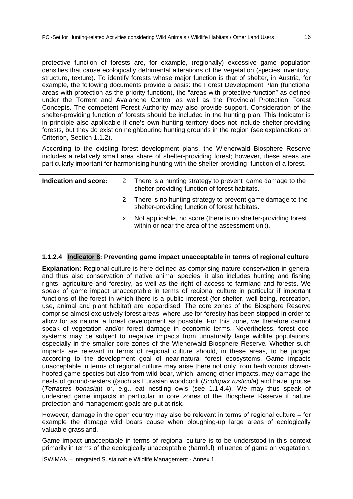protective function of forests are, for example, (regionally) excessive game population densities that cause ecologically detrimental alterations of the vegetation (species inventory, structure, texture). To identify forests whose major function is that of shelter, in Austria, for example, the following documents provide a basis: the Forest Development Plan (functional areas with protection as the priority function), the "areas with protective function" as defined under the Torrent and Avalanche Control as well as the Provincial Protection Forest Concepts. The competent Forest Authority may also provide support. Consideration of the shelter-providing function of forests should be included in the hunting plan. This Indicator is in principle also applicable if one's own hunting territory does not include shelter-providing forests, but they do exist on neighbouring hunting grounds in the region (see explanations on Criterion, Section 1.1.2).

According to the existing forest development plans, the Wienerwald Biosphere Reserve includes a relatively small area share of shelter-providing forest; however, these areas are particularly important for harmonising hunting with the shelter-providing function of a forest.

| Indication and score: |    | 2 There is a hunting strategy to prevent game damage to the<br>shelter-providing function of forest habitats.      |
|-----------------------|----|--------------------------------------------------------------------------------------------------------------------|
|                       |    | $-2$ There is no hunting strategy to prevent game damage to the<br>shelter-providing function of forest habitats.  |
|                       | x. | Not applicable, no score (there is no shelter-providing forest<br>within or near the area of the assessment unit). |

## **1.1.2.4 Indicator 8: Preventing game impact unacceptable in terms of regional culture**

**Explanation:** Regional culture is here defined as comprising nature conservation in general and thus also conservation of native animal species; it also includes hunting and fishing rights, agriculture and forestry, as well as the right of access to farmland and forests. We speak of game impact unacceptable in terms of regional culture in particular if important functions of the forest in which there is a public interest (for shelter, well-being, recreation, use, animal and plant habitat) are jeopardised. The core zones of the Biosphere Reserve comprise almost exclusively forest areas, where use for forestry has been stopped in order to allow for as natural a forest development as possible. For this zone, we therefore cannot speak of vegetation and/or forest damage in economic terms. Nevertheless, forest ecosystems may be subject to negative impacts from unnaturally large wildlife populations, especially in the smaller core zones of the Wienerwald Biosphere Reserve. Whether such impacts are relevant in terms of regional culture should, in these areas, to be judged according to the development goal of near-natural forest ecosystems. Game impacts unacceptable in terms of regional culture may arise there not only from herbivorous clovenhoofed game species but also from wild boar, which, among other impacts, may damage the nests of ground-nesters ((such as Eurasian woodcock (*Scolopax rusticola*) and hazel grouse (*Tetrastes bonasia*)) or, e.g., eat nestling owls (see 1.1.4.4). We may thus speak of undesired game impacts in particular in core zones of the Biosphere Reserve if nature protection and management goals are put at risk.

However, damage in the open country may also be relevant in terms of regional culture – for example the damage wild boars cause when ploughing-up large areas of ecologically valuable grassland.

Game impact unacceptable in terms of regional culture is to be understood in this context primarily in terms of the ecologically unacceptable (harmful) influence of game on vegetation.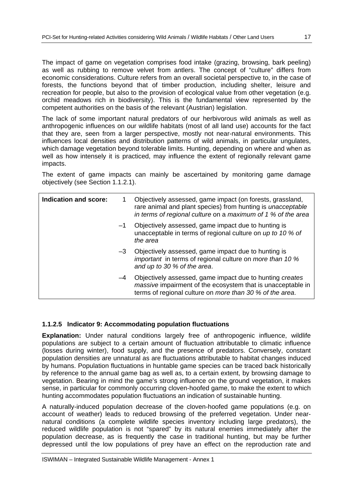The impact of game on vegetation comprises food intake (grazing, browsing, bark peeling) as well as rubbing to remove velvet from antlers. The concept of "culture" differs from economic considerations. Culture refers from an overall societal perspective to, in the case of forests, the functions beyond that of timber production, including shelter, leisure and recreation for people, but also to the provision of ecological value from other vegetation (e.g. orchid meadows rich in biodiversity). This is the fundamental view represented by the competent authorities on the basis of the relevant (Austrian) legislation.

The lack of some important natural predators of our herbivorous wild animals as well as anthropogenic influences on our wildlife habitats (most of all land use) accounts for the fact that they are, seen from a larger perspective, mostly not near-natural environments. This influences local densities and distribution patterns of wild animals, in particular ungulates, which damage vegetation beyond tolerable limits. Hunting, depending on where and when as well as how intensely it is practiced, may influence the extent of regionally relevant game impacts.

The extent of game impacts can mainly be ascertained by monitoring game damage objectively (see Section 1.1.2.1).

| Indication and score: |      | Objectively assessed, game impact (on forests, grassland,<br>rare animal and plant species) from hunting is unacceptable<br>in terms of regional culture on a maximum of 1 % of the area   |
|-----------------------|------|--------------------------------------------------------------------------------------------------------------------------------------------------------------------------------------------|
|                       | $-1$ | Objectively assessed, game impact due to hunting is<br>unacceptable in terms of regional culture on up to 10 % of<br>the area                                                              |
|                       | $-3$ | Objectively assessed, game impact due to hunting is<br>important in terms of regional culture on more than 10 %<br>and up to 30 % of the area.                                             |
|                       | $-4$ | Objectively assessed, game impact due to hunting creates<br><i>massive</i> impairment of the ecosystem that is unacceptable in<br>terms of regional culture on more than 30 % of the area. |

## **1.1.2.5 Indicator 9: Accommodating population fluctuations**

**Explanation:** Under natural conditions largely free of anthropogenic influence, wildlife populations are subject to a certain amount of fluctuation attributable to climatic influence (losses during winter), food supply, and the presence of predators. Conversely, constant population densities are unnatural as are fluctuations attributable to habitat changes induced by humans. Population fluctuations in huntable game species can be traced back historically by reference to the annual game bag as well as, to a certain extent, by browsing damage to vegetation. Bearing in mind the game's strong influence on the ground vegetation, it makes sense, in particular for commonly occurring cloven-hoofed game, to make the extent to which hunting accommodates population fluctuations an indication of sustainable hunting.

A naturally-induced population decrease of the cloven-hoofed game populations (e.g. on account of weather) leads to reduced browsing of the preferred vegetation. Under nearnatural conditions (a complete wildlife species inventory including large predators), the reduced wildlife population is not "spared" by its natural enemies immediately after the population decrease, as is frequently the case in traditional hunting, but may be further depressed until the low populations of prey have an effect on the reproduction rate and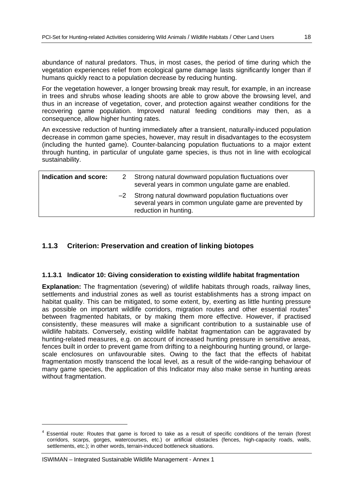abundance of natural predators. Thus, in most cases, the period of time during which the vegetation experiences relief from ecological game damage lasts significantly longer than if humans quickly react to a population decrease by reducing hunting.

For the vegetation however, a longer browsing break may result, for example, in an increase in trees and shrubs whose leading shoots are able to grow above the browsing level, and thus in an increase of vegetation, cover, and protection against weather conditions for the recovering game population. Improved natural feeding conditions may then, as a consequence, allow higher hunting rates.

An excessive reduction of hunting immediately after a transient, naturally-induced population decrease in common game species, however, may result in disadvantages to the ecosystem (including the hunted game). Counter-balancing population fluctuations to a major extent through hunting, in particular of ungulate game species, is thus not in line with ecological sustainability.

| Indication and score: | 2 Strong natural downward population fluctuations over<br>several years in common ungulate game are enabled.                               |
|-----------------------|--------------------------------------------------------------------------------------------------------------------------------------------|
|                       | -2 Strong natural downward population fluctuations over<br>several years in common ungulate game are prevented by<br>reduction in hunting. |

## **1.1.3 Criterion: Preservation and creation of linking biotopes**

## **1.1.3.1 Indicator 10: Giving consideration to existing wildlife habitat fragmentation**

**Explanation:** The fragmentation (severing) of wildlife habitats through roads, railway lines, settlements and industrial zones as well as tourist establishments has a strong impact on habitat quality. This can be mitigated, to some extent, by, exerting as little hunting pressure as possible on important wildlife corridors, migration routes and other essential routes<sup>4</sup> between fragmented habitats, or by making them more effective. However, if practised consistently, these measures will make a significant contribution to a sustainable use of wildlife habitats. Conversely, existing wildlife habitat fragmentation can be aggravated by hunting-related measures, e.g. on account of increased hunting pressure in sensitive areas, fences built in order to prevent game from drifting to a neighbouring hunting ground, or largescale enclosures on unfavourable sites. Owing to the fact that the effects of habitat fragmentation mostly transcend the local level, as a result of the wide-ranging behaviour of many game species, the application of this Indicator may also make sense in hunting areas without fragmentation.

-

<sup>4</sup> Essential route: Routes that game is forced to take as a result of specific conditions of the terrain (forest corridors, scarps, gorges, watercourses, etc.) or artificial obstacles (fences, high-capacity roads, walls, settlements, etc.); in other words, terrain-induced bottleneck situations.

ISWIMAN – Integrated Sustainable Wildlife Management - Annex 1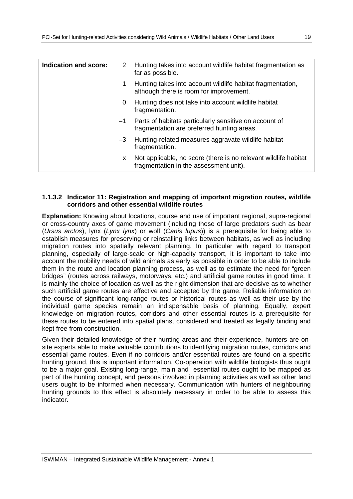| <b>Indication and score:</b> | 2    | Hunting takes into account wildlife habitat fragmentation as<br>far as possible.                          |
|------------------------------|------|-----------------------------------------------------------------------------------------------------------|
|                              |      | Hunting takes into account wildlife habitat fragmentation,<br>although there is room for improvement.     |
|                              | 0    | Hunting does not take into account wildlife habitat<br>fragmentation.                                     |
|                              | $-1$ | Parts of habitats particularly sensitive on account of<br>fragmentation are preferred hunting areas.      |
|                              | $-3$ | Hunting-related measures aggravate wildlife habitat<br>fragmentation.                                     |
|                              | x.   | Not applicable, no score (there is no relevant wildlife habitat<br>fragmentation in the assessment unit). |

#### **1.1.3.2 Indicator 11: Registration and mapping of important migration routes, wildlife corridors and other essential wildlife routes**

**Explanation:** Knowing about locations, course and use of important regional, supra-regional or cross-country axes of game movement (including those of large predators such as bear (*Ursus arctos*), lynx (*Lynx lynx*) or wolf (*Canis lupus*)) is a prerequisite for being able to establish measures for preserving or reinstalling links between habitats, as well as including migration routes into spatially relevant planning. In particular with regard to transport planning, especially of large-scale or high-capacity transport, it is important to take into account the mobility needs of wild animals as early as possible in order to be able to include them in the route and location planning process, as well as to estimate the need for "green bridges" (routes across railways, motorways, etc.) and artificial game routes in good time. It is mainly the choice of location as well as the right dimension that are decisive as to whether such artificial game routes are effective and accepted by the game. Reliable information on the course of significant long-range routes or historical routes as well as their use by the individual game species remain an indispensable basis of planning. Equally, expert knowledge on migration routes, corridors and other essential routes is a prerequisite for these routes to be entered into spatial plans, considered and treated as legally binding and kept free from construction.

Given their detailed knowledge of their hunting areas and their experience, hunters are onsite experts able to make valuable contributions to identifying migration routes, corridors and essential game routes. Even if no corridors and/or essential routes are found on a specific hunting ground, this is important information. Co-operation with wildlife biologists thus ought to be a major goal. Existing long-range, main and essential routes ought to be mapped as part of the hunting concept, and persons involved in planning activities as well as other land users ought to be informed when necessary. Communication with hunters of neighbouring hunting grounds to this effect is absolutely necessary in order to be able to assess this indicator.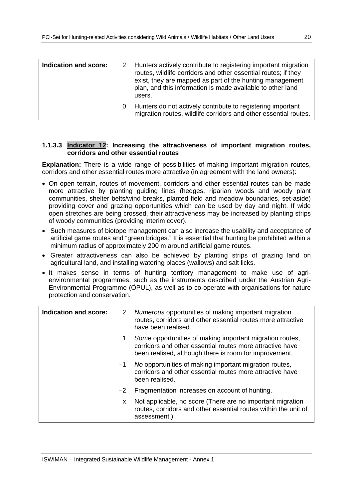| Indication and score: |   | 2 Hunters actively contribute to registering important migration<br>routes, wildlife corridors and other essential routes; if they<br>exist, they are mapped as part of the hunting management<br>plan, and this information is made available to other land<br>users. |
|-----------------------|---|------------------------------------------------------------------------------------------------------------------------------------------------------------------------------------------------------------------------------------------------------------------------|
|                       | 0 | Hunters do not actively contribute to registering important<br>migration routes, wildlife corridors and other essential routes.                                                                                                                                        |

#### **1.1.3.3 Indicator 12: Increasing the attractiveness of important migration routes, corridors and other essential routes**

**Explanation:** There is a wide range of possibilities of making important migration routes, corridors and other essential routes more attractive (in agreement with the land owners):

- On open terrain, routes of movement, corridors and other essential routes can be made more attractive by planting guiding lines (hedges, riparian woods and woody plant communities, shelter belts/wind breaks, planted field and meadow boundaries, set-aside) providing cover and grazing opportunities which can be used by day and night. If wide open stretches are being crossed, their attractiveness may be increased by planting strips of woody communities (providing interim cover).
- Such measures of biotope management can also increase the usability and acceptance of artificial game routes and "green bridges." It is essential that hunting be prohibited within a minimum radius of approximately 200 m around artificial game routes.
- Greater attractiveness can also be achieved by planting strips of grazing land on agricultural land, and installing watering places (wallows) and salt licks.
- It makes sense in terms of hunting territory management to make use of agrienvironmental programmes, such as the instruments described under the Austrian Agri-Environmental Programme (ÖPUL), as well as to co-operate with organisations for nature protection and conservation.

| Indication and score: | 2    | Numerous opportunities of making important migration<br>routes, corridors and other essential routes more attractive<br>have been realised.                                     |
|-----------------------|------|---------------------------------------------------------------------------------------------------------------------------------------------------------------------------------|
|                       |      | Some opportunities of making important migration routes,<br>corridors and other essential routes more attractive have<br>been realised, although there is room for improvement. |
|                       | $-1$ | No opportunities of making important migration routes,<br>corridors and other essential routes more attractive have<br>been realised.                                           |
|                       | $-2$ | Fragmentation increases on account of hunting.                                                                                                                                  |
|                       | x.   | Not applicable, no score (There are no important migration<br>routes, corridors and other essential routes within the unit of<br>assessment.)                                   |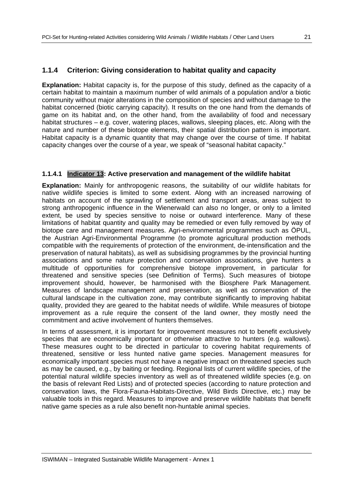## **1.1.4 Criterion: Giving consideration to habitat quality and capacity**

**Explanation:** Habitat capacity is, for the purpose of this study, defined as the capacity of a certain habitat to maintain a maximum number of wild animals of a population and/or a biotic community without major alterations in the composition of species and without damage to the habitat concerned (biotic carrying capacity). It results on the one hand from the demands of game on its habitat and, on the other hand, from the availability of food and necessary habitat structures – e.g. cover, watering places, wallows, sleeping places, etc. Along with the nature and number of these biotope elements, their spatial distribution pattern is important. Habitat capacity is a dynamic quantity that may change over the course of time. If habitat capacity changes over the course of a year, we speak of "seasonal habitat capacity."

## **1.1.4.1 Indicator 13: Active preservation and management of the wildlife habitat**

**Explanation:** Mainly for anthropogenic reasons, the suitability of our wildlife habitats for native wildlife species is limited to some extent. Along with an increased narrowing of habitats on account of the sprawling of settlement and transport areas, areas subject to strong anthropogenic influence in the Wienerwald can also no longer, or only to a limited extent, be used by species sensitive to noise or outward interference. Many of these limitations of habitat quantity and quality may be remedied or even fully removed by way of biotope care and management measures. Agri-environmental programmes such as ÖPUL, the Austrian Agri-Environmental Programme (to promote agricultural production methods compatible with the requirements of protection of the environment, de-intensification and the preservation of natural habitats), as well as subsidising programmes by the provincial hunting associations and some nature protection and conservation associations, give hunters a multitude of opportunities for comprehensive biotope improvement, in particular for threatened and sensitive species (see Definition of Terms). Such measures of biotope improvement should, however, be harmonised with the Biosphere Park Management. Measures of landscape management and preservation, as well as conservation of the cultural landscape in the cultivation zone, may contribute significantly to improving habitat quality, provided they are geared to the habitat needs of wildlife. While measures of biotope improvement as a rule require the consent of the land owner, they mostly need the commitment and active involvement of hunters themselves.

In terms of assessment, it is important for improvement measures not to benefit exclusively species that are economically important or otherwise attractive to hunters (e.g. wallows). These measures ought to be directed in particular to covering habitat requirements of threatened, sensitive or less hunted native game species. Management measures for economically important species must not have a negative impact on threatened species such as may be caused, e.g., by baiting or feeding. Regional lists of current wildlife species, of the potential natural wildlife species inventory as well as of threatened wildlife species (e.g. on the basis of relevant Red Lists) and of protected species (according to nature protection and conservation laws, the Flora-Fauna-Habitats-Directive, Wild Birds Directive, etc.) may be valuable tools in this regard. Measures to improve and preserve wildlife habitats that benefit native game species as a rule also benefit non-huntable animal species.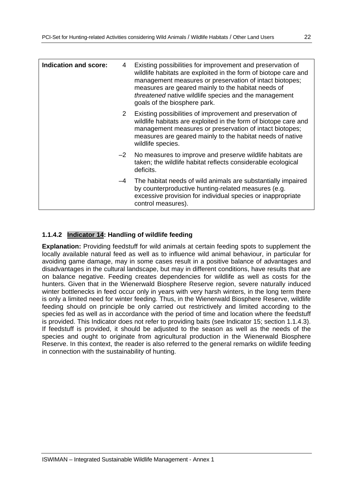| Indication and score: | 4           | Existing possibilities for improvement and preservation of<br>wildlife habitats are exploited in the form of biotope care and<br>management measures or preservation of intact biotopes;<br>measures are geared mainly to the habitat needs of<br>threatened native wildlife species and the management<br>goals of the biosphere park. |
|-----------------------|-------------|-----------------------------------------------------------------------------------------------------------------------------------------------------------------------------------------------------------------------------------------------------------------------------------------------------------------------------------------|
|                       | $2^{\circ}$ | Existing possibilities of improvement and preservation of<br>wildlife habitats are exploited in the form of biotope care and<br>management measures or preservation of intact biotopes;<br>measures are geared mainly to the habitat needs of native<br>wildlife species.                                                               |
|                       | $-2$        | No measures to improve and preserve wildlife habitats are<br>taken; the wildlife habitat reflects considerable ecological<br>deficits.                                                                                                                                                                                                  |
| $-4$                  |             | The habitat needs of wild animals are substantially impaired<br>by counterproductive hunting-related measures (e.g.<br>excessive provision for individual species or inappropriate<br>control measures).                                                                                                                                |

## **1.1.4.2 Indicator 14: Handling of wildlife feeding**

**Explanation:** Providing feedstuff for wild animals at certain feeding spots to supplement the locally available natural feed as well as to influence wild animal behaviour, in particular for avoiding game damage, may in some cases result in a positive balance of advantages and disadvantages in the cultural landscape, but may in different conditions, have results that are on balance negative. Feeding creates dependencies for wildlife as well as costs for the hunters. Given that in the Wienerwald Biosphere Reserve region, severe naturally induced winter bottlenecks in feed occur only in years with very harsh winters, in the long term there is only a limited need for winter feeding. Thus, in the Wienerwald Biosphere Reserve, wildlife feeding should on principle be only carried out restrictively and limited according to the species fed as well as in accordance with the period of time and location where the feedstuff is provided. This Indicator does not refer to providing baits (see Indicator 15; section 1.1.4.3). If feedstuff is provided, it should be adjusted to the season as well as the needs of the species and ought to originate from agricultural production in the Wienerwald Biosphere Reserve. In this context, the reader is also referred to the general remarks on wildlife feeding in connection with the sustainability of hunting.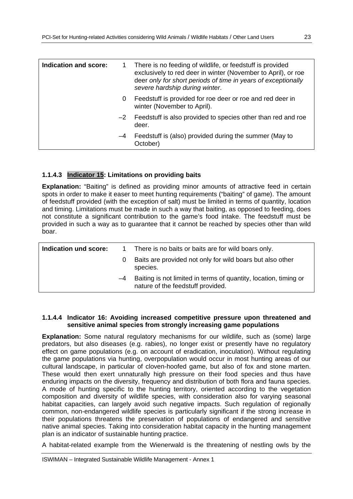| There is no feeding of wildlife, or feedstuff is provided<br>exclusively to red deer in winter (November to April), or roe<br>deer only for short periods of time in years of exceptionally<br>severe hardship during winter. |
|-------------------------------------------------------------------------------------------------------------------------------------------------------------------------------------------------------------------------------|
| Feedstuff is provided for roe deer or roe and red deer in<br>winter (November to April).                                                                                                                                      |
| Feedstuff is also provided to species other than red and roe<br>deer.                                                                                                                                                         |
| Feedstuff is (also) provided during the summer (May to<br>October)                                                                                                                                                            |
|                                                                                                                                                                                                                               |

## **1.1.4.3 Indicator 15: Limitations on providing baits**

**Explanation:** "Baiting" is defined as providing minor amounts of attractive feed in certain spots in order to make it easer to meet hunting requirements ("baiting" of game). The amount of feedstuff provided (with the exception of salt) must be limited in terms of quantity, location and timing. Limitations must be made in such a way that baiting, as opposed to feeding, does not constitute a significant contribution to the game's food intake. The feedstuff must be provided in such a way as to guarantee that it cannot be reached by species other than wild boar.

| Indication und score: |      | There is no baits or baits are for wild boars only.                                                   |
|-----------------------|------|-------------------------------------------------------------------------------------------------------|
|                       |      | Baits are provided not only for wild boars but also other<br>species.                                 |
|                       | $-4$ | Baiting is not limited in terms of quantity, location, timing or<br>nature of the feedstuff provided. |

#### **1.1.4.4 Indicator 16: Avoiding increased competitive pressure upon threatened and sensitive animal species from strongly increasing game populations**

**Explanation:** Some natural regulatory mechanisms for our wildlife, such as (some) large predators, but also diseases (e.g. rabies), no longer exist or presently have no regulatory effect on game populations (e.g. on account of eradication, inoculation). Without regulating the game populations via hunting, overpopulation would occur in most hunting areas of our cultural landscape, in particular of cloven-hoofed game, but also of fox and stone marten. These would then exert unnaturally high pressure on their food species and thus have enduring impacts on the diversity, frequency and distribution of both flora and fauna species. A mode of hunting specific to the hunting territory, oriented according to the vegetation composition and diversity of wildlife species, with consideration also for varying seasonal habitat capacities, can largely avoid such negative impacts. Such regulation of regionally common, non-endangered wildlife species is particularly significant if the strong increase in their populations threatens the preservation of populations of endangered and sensitive native animal species. Taking into consideration habitat capacity in the hunting management plan is an indicator of sustainable hunting practice.

A habitat-related example from the Wienerwald is the threatening of nestling owls by the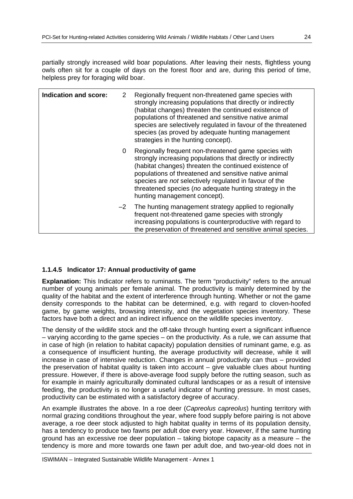partially strongly increased wild boar populations. After leaving their nests, flightless young owls often sit for a couple of days on the forest floor and are, during this period of time, helpless prey for foraging wild boar.

| Indication and score: | 2    | Regionally frequent non-threatened game species with<br>strongly increasing populations that directly or indirectly<br>(habitat changes) threaten the continued existence of<br>populations of threatened and sensitive native animal<br>species are selectively regulated in favour of the threatened<br>species (as proved by adequate hunting management<br>strategies in the hunting concept). |
|-----------------------|------|----------------------------------------------------------------------------------------------------------------------------------------------------------------------------------------------------------------------------------------------------------------------------------------------------------------------------------------------------------------------------------------------------|
|                       | 0    | Regionally frequent non-threatened game species with<br>strongly increasing populations that directly or indirectly<br>(habitat changes) threaten the continued existence of<br>populations of threatened and sensitive native animal<br>species are <i>not</i> selectively regulated in favour of the<br>threatened species (no adequate hunting strategy in the<br>hunting management concept).  |
|                       | $-2$ | The hunting management strategy applied to regionally<br>frequent not-threatened game species with strongly<br>increasing populations is counterproductive with regard to<br>the preservation of threatened and sensitive animal species.                                                                                                                                                          |

## **1.1.4.5 Indicator 17: Annual productivity of game**

**Explanation:** This Indicator refers to ruminants. The term "productivity" refers to the annual number of young animals per female animal. The productivity is mainly determined by the quality of the habitat and the extent of interference through hunting. Whether or not the game density corresponds to the habitat can be determined, e.g. with regard to cloven-hoofed game, by game weights, browsing intensity, and the vegetation species inventory. These factors have both a direct and an indirect influence on the wildlife species inventory.

The density of the wildlife stock and the off-take through hunting exert a significant influence – varying according to the game species – on the productivity. As a rule, we can assume that in case of high (in relation to habitat capacity) population densities of ruminant game, e.g. as a consequence of insufficient hunting, the average productivity will decrease, while it will increase in case of intensive reduction. Changes in annual productivity can thus – provided the preservation of habitat quality is taken into account – give valuable clues about hunting pressure. However, if there is above-average food supply before the rutting season, such as for example in mainly agriculturally dominated cultural landscapes or as a result of intensive feeding, the productivity is no longer a useful indicator of hunting pressure. In most cases, productivity can be estimated with a satisfactory degree of accuracy.

An example illustrates the above. In a roe deer (*Capreolus capreolus*) hunting territory with normal grazing conditions throughout the year, where food supply before pairing is not above average, a roe deer stock adjusted to high habitat quality in terms of its population density, has a tendency to produce two fawns per adult doe every year. However, if the same hunting ground has an excessive roe deer population – taking biotope capacity as a measure – the tendency is more and more towards one fawn per adult doe, and two-year-old does not in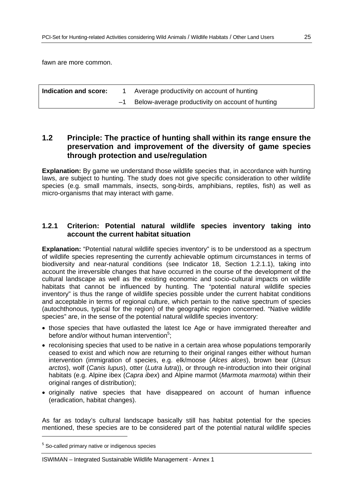fawn are more common.

| Indication and score: | Average productivity on account of hunting       |
|-----------------------|--------------------------------------------------|
|                       | Below-average productivity on account of hunting |

## **1.2 Principle: The practice of hunting shall within its range ensure the preservation and improvement of the diversity of game species through protection and use/regulation**

**Explanation:** By game we understand those wildlife species that, in accordance with hunting laws, are subject to hunting. The study does not give specific consideration to other wildlife species (e.g. small mammals, insects, song-birds, amphibians, reptiles, fish) as well as micro-organisms that may interact with game.

## **1.2.1 Criterion: Potential natural wildlife species inventory taking into account the current habitat situation**

**Explanation:** "Potential natural wildlife species inventory" is to be understood as a spectrum of wildlife species representing the currently achievable optimum circumstances in terms of biodiversity and near-natural conditions (see Indicator 18, Section 1.2.1.1), taking into account the irreversible changes that have occurred in the course of the development of the cultural landscape as well as the existing economic and socio-cultural impacts on wildlife habitats that cannot be influenced by hunting. The "potential natural wildlife species inventory" is thus the range of wildlife species possible under the current habitat conditions and acceptable in terms of regional culture, which pertain to the native spectrum of species (autochthonous, typical for the region) of the geographic region concerned. "Native wildlife species" are, in the sense of the potential natural wildlife species inventory:

- those species that have outlasted the latest Ice Age or have immigrated thereafter and before and/or without human intervention<sup>5</sup>;
- recolonising species that used to be native in a certain area whose populations temporarily ceased to exist and which now are returning to their original ranges either without human intervention (immigration of species, e.g. elk/moose (*Alces alces*), brown bear (*Ursus arctos*), wolf (*Canis lupus*), otter (*Lutra lutra*)), or through re-introduction into their original habitats (e.g. Alpine ibex (*Capra ibex*) and Alpine marmot (*Marmota marmota*) within their original ranges of distribution):
- originally native species that have disappeared on account of human influence (eradication, habitat changes).

As far as today's cultural landscape basically still has habitat potential for the species mentioned, these species are to be considered part of the potential natural wildlife species

-

<sup>&</sup>lt;sup>5</sup> So-called primary native or indigenous species

ISWIMAN – Integrated Sustainable Wildlife Management - Annex 1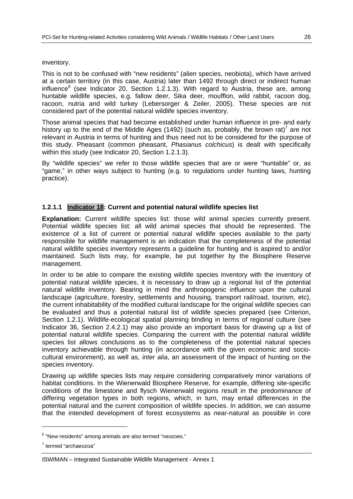#### inventory.

This is not to be confused with "new residents" (alien species, neobiota), which have arrived at a certain territory (in this case, Austria) later than 1492 through direct or indirect human influence<sup>6</sup> (see Indicator 20, Section 1.2.1.3). With regard to Austria, these are, among huntable wildlife species, e.g. fallow deer, Sika deer, moufflon, wild rabbit, racoon dog, racoon, nutria and wild turkey (Lebersorger & Zeiler, 2005). These species are not considered part of the potential natural wildlife species inventory.

Those animal species that had become established under human influence in pre- and early history up to the end of the Middle Ages (1492) (such as, probably, the brown rat)<sup>7</sup> are not relevant in Austria in terms of hunting and thus need not to be considered for the purpose of this study. Pheasant (common pheasant, *Phasianus colchicus*) is dealt with specifically within this study (see Indicator 20, Section 1.2.1.3).

By "wildlife species" we refer to those wildlife species that are or were "huntable" or, as "game," in other ways subject to hunting (e.g. to regulations under hunting laws, hunting practice).

## **1.2.1.1 Indicator 18: Current and potential natural wildlife species list**

**Explanation:** Current wildlife species list: those wild animal species currently present. Potential wildlife species list: all wild animal species that should be represented. The existence of a list of current or potential natural wildlife species available to the party responsible for wildlife management is an indication that the completeness of the potential natural wildlife species inventory represents a guideline for hunting and is aspired to and/or maintained. Such lists may, for example, be put together by the Biosphere Reserve management.

In order to be able to compare the existing wildlife species inventory with the inventory of potential natural wildlife species, it is necessary to draw up a regional list of the potential natural wildlife inventory. Bearing in mind the anthropogenic influence upon the cultural landscape (agriculture, forestry, settlements and housing, transport rail/road, tourism, etc), the current inhabitability of the modified cultural landscape for the original wildlife species can be evaluated and thus a potential natural list of wildlife species prepared (see Criterion, Section 1.2.1). Wildlife-ecological spatial planning binding in terms of regional culture (see Indicator 36, Section 2.4.2.1) may also provide an important basis for drawing up a list of potential natural wildlife species. Comparing the current with the potential natural wildlife species list allows conclusions as to the completeness of the potential natural species inventory achievable through hunting (in accordance with the given economic and sociocultural environment), as well as, *inter alia*, an assessment of the impact of hunting on the species inventory.

Drawing up wildlife species lists may require considering comparatively minor variations of habitat conditions. In the Wienerwald Biosphere Reserve, for example, differing site-specific conditions of the limestone and flysch Wienerwald regions result in the predominance of differing vegetation types in both regions, which, in turn, may entail differences in the potential natural and the current composition of wildlife species. In addition, we can assume that the intended development of forest ecosystems as near-natural as possible in core

 $\overline{a}$ 

<sup>&</sup>lt;sup>6</sup> "New residents" among animals are also termed "neozoes."

<sup>7</sup> termed "archaeozoa"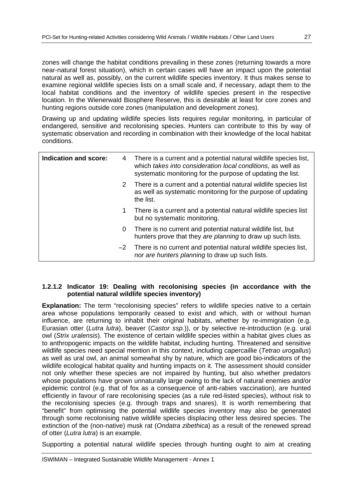zones will change the habitat conditions prevailing in these zones (returning towards a more near-natural forest situation), which in certain cases will have an impact upon the potential natural as well as, possibly, on the current wildlife species inventory. It thus makes sense to examine regional wildlife species lists on a small scale and, if necessary, adapt them to the local habitat conditions and the inventory of wildlife species present in the respective location. In the Wienerwald Biosphere Reserve, this is desirable at least for core zones and hunting regions outside core zones (manipulation and development zones).

Drawing up and updating wildlife species lists requires regular monitoring, in particular of endangered, sensitive and recolonising species. Hunters can contribute to this by way of systematic observation and recording in combination with their knowledge of the local habitat conditions.

| <b>Indication and score:</b> | 4    | There is a current and a potential natural wildlife species list,<br>which takes into consideration local conditions, as well as<br>systematic monitoring for the purpose of updating the list. |
|------------------------------|------|-------------------------------------------------------------------------------------------------------------------------------------------------------------------------------------------------|
|                              | 2    | There is a current and a potential natural wildlife species list<br>as well as systematic monitoring for the purpose of updating<br>the list.                                                   |
|                              | 1    | There is a current and a potential natural wildlife species list<br>but no systematic monitoring.                                                                                               |
|                              | 0    | There is no current and potential natural wildlife list, but<br>hunters prove that they are planning to draw up such lists.                                                                     |
|                              | $-2$ | There is no current and potential natural wildlife species list,<br>nor are hunters planning to draw up such lists.                                                                             |

## **1.2.1.2 Indicator 19: Dealing with recolonising species (in accordance with the potential natural wildlife species inventory)**

**Explanation:** The term "recolonising species" refers to wildlife species native to a certain area whose populations temporarily ceased to exist and which, with or without human influence, are returning to inhabit their original habitats, whether by re-immigration (e.g. Eurasian otter (*Lutra lutra*), beaver (*Castor ssp.*)), or by selective re-introduction (e.g. ural owl (*Strix uralensis*). The existence of certain wildlife species within a habitat gives clues as to anthropogenic impacts on the wildlife habitat, including hunting. Threatened and sensitive wildlife species need special mention in this context, including capercaillie (*Tetrao urogallus*) as well as ural owl, an animal somewhat shy by nature, which are good bio-indicators of the wildlife ecological habitat quality and hunting impacts on it. The assessment should consider not only whether these species are not impaired by hunting, but also whether predators whose populations have grown unnaturally large owing to the lack of natural enemies and/or epidemic control (e.g. that of fox as a consequence of anti-rabies vaccination), are hunted efficiently in favour of rare recolonising species (as a rule red-listed species), without risk to the recolonising species (e.g. through traps and snares). It is worth remembering that "benefit" from optimising the potential wildlife species inventory may also be generated through some recolonising native wildlife species displacing other less desired species. The extinction of the (non-native) musk rat (*Ondatra zibethica*) as a result of the renewed spread of otter (*Lutra lutra*) is an example.

Supporting a potential natural wildlife species through hunting ought to aim at creating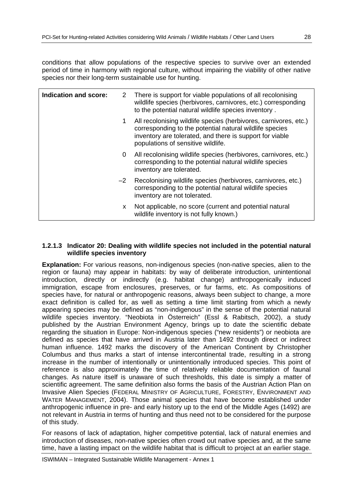conditions that allow populations of the respective species to survive over an extended period of time in harmony with regional culture, without impairing the viability of other native species nor their long-term sustainable use for hunting.

| <b>Indication and score:</b> | 2    | There is support for viable populations of all recolonising<br>wildlife species (herbivores, carnivores, etc.) corresponding<br>to the potential natural wildlife species inventory.                                          |
|------------------------------|------|-------------------------------------------------------------------------------------------------------------------------------------------------------------------------------------------------------------------------------|
|                              | 1.   | All recolonising wildlife species (herbivores, carnivores, etc.)<br>corresponding to the potential natural wildlife species<br>inventory are tolerated, and there is support for viable<br>populations of sensitive wildlife. |
|                              | 0    | All recolonising wildlife species (herbivores, carnivores, etc.)<br>corresponding to the potential natural wildlife species<br>inventory are tolerated.                                                                       |
|                              | $-2$ | Recolonising wildlife species (herbivores, carnivores, etc.)<br>corresponding to the potential natural wildlife species<br>inventory are not tolerated.                                                                       |
|                              | X.   | Not applicable, no score (current and potential natural<br>wildlife inventory is not fully known.)                                                                                                                            |

#### **1.2.1.3 Indicator 20: Dealing with wildlife species not included in the potential natural wildlife species inventory**

**Explanation:** For various reasons, non-indigenous species (non-native species, alien to the region or fauna) may appear in habitats: by way of deliberate introduction, unintentional introduction, directly or indirectly (e.g. habitat change) anthropogenically induced immigration, escape from enclosures, preserves, or fur farms, etc. As compositions of species have, for natural or anthropogenic reasons, always been subject to change, a more exact definition is called for, as well as setting a time limit starting from which a newly appearing species may be defined as "non-indigenous" in the sense of the potential natural wildlife species inventory. "Neobiota in Österreich" (Essl & Rabitsch, 2002), a study published by the Austrian Environment Agency, brings up to date the scientific debate regarding the situation in Europe: Non-indigenous species ("new residents") or neobiota are defined as species that have arrived in Austria later than 1492 through direct or indirect human influence. 1492 marks the discovery of the American Continent by Christopher Columbus and thus marks a start of intense intercontinental trade, resulting in a strong increase in the number of intentionally or unintentionally introduced species. This point of reference is also approximately the time of relatively reliable documentation of faunal changes. As nature itself is unaware of such thresholds, this date is simply a matter of scientific agreement. The same definition also forms the basis of the Austrian Action Plan on Invasive Alien Species (FEDERAL MINISTRY OF AGRICULTURE, FORESTRY, ENVIRONMENT AND WATER MANAGEMENT, 2004). Those animal species that have become established under anthropogenic influence in pre- and early history up to the end of the Middle Ages (1492) are not relevant in Austria in terms of hunting and thus need not to be considered for the purpose of this study.

For reasons of lack of adaptation, higher competitive potential, lack of natural enemies and introduction of diseases, non-native species often crowd out native species and, at the same time, have a lasting impact on the wildlife habitat that is difficult to project at an earlier stage.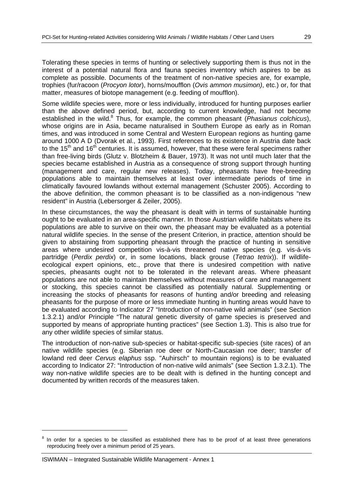Tolerating these species in terms of hunting or selectively supporting them is thus not in the interest of a potential natural flora and fauna species inventory which aspires to be as complete as possible. Documents of the treatment of non-native species are, for example, trophies (fur/racoon (*Procyon lotor*), horns/moufflon (*Ovis ammon musimon)*, etc.) or, for that matter, measures of biotope management (e.g. feeding of moufflon).

Some wildlife species were, more or less individually, introduced for hunting purposes earlier than the above defined period, but, according to current knowledge, had not become established in the wild.<sup>8</sup> Thus, for example, the common pheasant (*Phasianus colchicus*), whose origins are in Asia, became naturalised in Southern Europe as early as in Roman times, and was introduced in some Central and Western European regions as hunting game around 1000 A D (Dvorak et al., 1993). First references to its existence in Austria date back to the  $15<sup>th</sup>$  and  $16<sup>th</sup>$  centuries. It is assumed, however, that these were feral specimens rather than free-living birds (Glutz v. Blotzheim & Bauer, 1973). It was not until much later that the species became established in Austria as a consequence of strong support through hunting (management and care, regular new releases). Today, pheasants have free-breeding populations able to maintain themselves at least over intermediate periods of time in climatically favoured lowlands without external management (Schuster 2005). According to the above definition, the common pheasant is to be classified as a non-indigenous "new resident" in Austria (Lebersorger & Zeiler, 2005).

In these circumstances, the way the pheasant is dealt with in terms of sustainable hunting ought to be evaluated in an area-specific manner. In those Austrian wildlife habitats where its populations are able to survive on their own, the pheasant may be evaluated as a potential natural wildlife species. In the sense of the present Criterion, in practice, attention should be given to abstaining from supporting pheasant through the practice of hunting in sensitive areas where undesired competition vis-à-vis threatened native species (e.g. vis-á-vis partridge (*Perdix perdix*) or, in some locations, black grouse (*Tetrao tetrix*)). If wildlifeecological expert opinions, etc., prove that there is undesired competition with native species, pheasants ought not to be tolerated in the relevant areas. Where pheasant populations are not able to maintain themselves without measures of care and management or stocking, this species cannot be classified as potentially natural. Supplementing or increasing the stocks of pheasants for reasons of hunting and/or breeding and releasing pheasants for the purpose of more or less immediate hunting in hunting areas would have to be evaluated according to Indicator 27 "Introduction of non-native wild animals" (see Section 1.3.2.1) and/or Principle "The natural genetic diversity of game species is preserved and supported by means of appropriate hunting practices" (see Section 1.3). This is also true for any other wildlife species of similar status.

The introduction of non-native sub-species or habitat-specific sub-species (site races) of an native wildlife species (e.g. Siberian roe deer or North-Caucasian roe deer; transfer of lowland red deer *Cervus elaphus* ssp. "Auhirsch" to mountain regions) is to be evaluated according to Indicator 27: "Introduction of non-native wild animals" (see Section 1.3.2.1). The way non-native wildlife species are to be dealt with is defined in the hunting concept and documented by written records of the measures taken.

 $\overline{a}$ 

<sup>8</sup> In order for a species to be classified as established there has to be proof of at least three generations reproducing freely over a minimum period of 25 years.

ISWIMAN – Integrated Sustainable Wildlife Management - Annex 1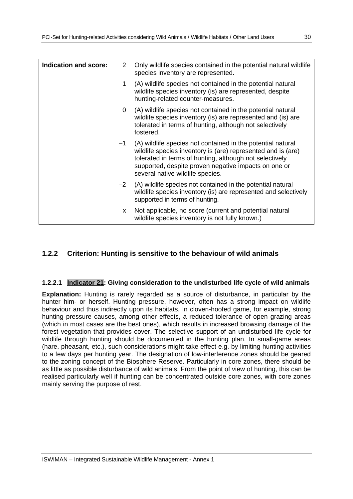| <b>Indication and score:</b> | $\mathbf{2}^{\prime}$ | Only wildlife species contained in the potential natural wildlife<br>species inventory are represented.                                                                                                                                                                                 |
|------------------------------|-----------------------|-----------------------------------------------------------------------------------------------------------------------------------------------------------------------------------------------------------------------------------------------------------------------------------------|
|                              | 1.                    | (A) wildlife species not contained in the potential natural<br>wildlife species inventory (is) are represented, despite<br>hunting-related counter-measures.                                                                                                                            |
|                              | 0                     | (A) wildlife species not contained in the potential natural<br>wildlife species inventory (is) are represented and (is) are<br>tolerated in terms of hunting, although not selectively<br>fostered.                                                                                     |
|                              |                       | $-1$ (A) wildlife species not contained in the potential natural<br>wildlife species inventory is (are) represented and is (are)<br>tolerated in terms of hunting, although not selectively<br>supported, despite proven negative impacts on one or<br>several native wildlife species. |
|                              | $-2$                  | (A) wildlife species not contained in the potential natural<br>wildlife species inventory (is) are represented and selectively<br>supported in terms of hunting.                                                                                                                        |
|                              | X.                    | Not applicable, no score (current and potential natural<br>wildlife species inventory is not fully known.)                                                                                                                                                                              |

## **1.2.2 Criterion: Hunting is sensitive to the behaviour of wild animals**

## **1.2.2.1 Indicator 21: Giving consideration to the undisturbed life cycle of wild animals**

**Explanation:** Hunting is rarely regarded as a source of disturbance, in particular by the hunter him- or herself. Hunting pressure, however, often has a strong impact on wildlife behaviour and thus indirectly upon its habitats. In cloven-hoofed game, for example, strong hunting pressure causes, among other effects, a reduced tolerance of open grazing areas (which in most cases are the best ones), which results in increased browsing damage of the forest vegetation that provides cover. The selective support of an undisturbed life cycle for wildlife through hunting should be documented in the hunting plan. In small-game areas (hare, pheasant, etc.), such considerations might take effect e.g. by limiting hunting activities to a few days per hunting year. The designation of low-interference zones should be geared to the zoning concept of the Biosphere Reserve. Particularly in core zones, there should be as little as possible disturbance of wild animals. From the point of view of hunting, this can be realised particularly well if hunting can be concentrated outside core zones, with core zones mainly serving the purpose of rest.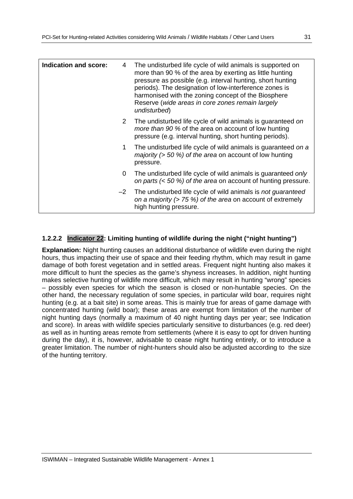| <b>Indication and score:</b> | 4    | The undisturbed life cycle of wild animals is supported on<br>more than 90 % of the area by exerting as little hunting<br>pressure as possible (e.g. interval hunting, short hunting<br>periods). The designation of low-interference zones is<br>harmonised with the zoning concept of the Biosphere<br>Reserve (wide areas in core zones remain largely<br>undisturbed) |
|------------------------------|------|---------------------------------------------------------------------------------------------------------------------------------------------------------------------------------------------------------------------------------------------------------------------------------------------------------------------------------------------------------------------------|
|                              | 2    | The undisturbed life cycle of wild animals is guaranteed on<br>more than 90 % of the area on account of low hunting<br>pressure (e.g. interval hunting, short hunting periods).                                                                                                                                                                                           |
|                              | 1    | The undisturbed life cycle of wild animals is guaranteed on a<br>majority ( $>$ 50 %) of the area on account of low hunting<br>pressure.                                                                                                                                                                                                                                  |
|                              | 0    | The undisturbed life cycle of wild animals is guaranteed only<br>on parts $(< 50 %)$ of the area on account of hunting pressure.                                                                                                                                                                                                                                          |
|                              | $-2$ | The undisturbed life cycle of wild animals is not guaranteed<br>on a majority ( $> 75$ %) of the area on account of extremely<br>high hunting pressure.                                                                                                                                                                                                                   |

## **1.2.2.2 Indicator 22: Limiting hunting of wildlife during the night ("night hunting")**

**Explanation:** Night hunting causes an additional disturbance of wildlife even during the night hours, thus impacting their use of space and their feeding rhythm, which may result in game damage of both forest vegetation and in settled areas. Frequent night hunting also makes it more difficult to hunt the species as the game's shyness increases. In addition, night hunting makes selective hunting of wildlife more difficult, which may result in hunting "wrong" species – possibly even species for which the season is closed or non-huntable species. On the other hand, the necessary regulation of some species, in particular wild boar, requires night hunting (e.g. at a bait site) in some areas. This is mainly true for areas of game damage with concentrated hunting (wild boar); these areas are exempt from limitation of the number of night hunting days (normally a maximum of 40 night hunting days per year; see Indication and score). In areas with wildlife species particularly sensitive to disturbances (e.g. red deer) as well as in hunting areas remote from settlements (where it is easy to opt for driven hunting during the day), it is, however, advisable to cease night hunting entirely, or to introduce a greater limitation. The number of night-hunters should also be adjusted according to the size of the hunting territory.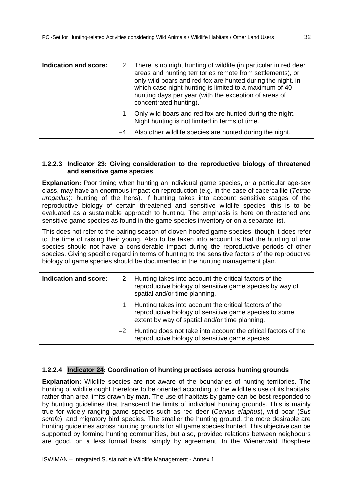| Indication and score: |      | 2 There is no night hunting of wildlife (in particular in red deer<br>areas and hunting territories remote from settlements), or<br>only wild boars and red fox are hunted during the night, in<br>which case night hunting is limited to a maximum of 40<br>hunting days per year (with the exception of areas of<br>concentrated hunting). |
|-----------------------|------|----------------------------------------------------------------------------------------------------------------------------------------------------------------------------------------------------------------------------------------------------------------------------------------------------------------------------------------------|
|                       | $-1$ | Only wild boars and red fox are hunted during the night.<br>Night hunting is not limited in terms of time.                                                                                                                                                                                                                                   |
|                       | $-4$ | Also other wildlife species are hunted during the night.                                                                                                                                                                                                                                                                                     |

#### **1.2.2.3 Indicator 23: Giving consideration to the reproductive biology of threatened and sensitive game species**

**Explanation:** Poor timing when hunting an individual game species, or a particular age-sex class, may have an enormous impact on reproduction (e.g. in the case of capercaillie (*Tetrao urogallus*): hunting of the hens). If hunting takes into account sensitive stages of the reproductive biology of certain threatened and sensitive wildlife species, this is to be evaluated as a sustainable approach to hunting. The emphasis is here on threatened and sensitive game species as found in the game species inventory or on a separate list.

This does not refer to the pairing season of cloven-hoofed game species, though it does refer to the time of raising their young. Also to be taken into account is that the hunting of one species should not have a considerable impact during the reproductive periods of other species. Giving specific regard in terms of hunting to the sensitive factors of the reproductive biology of game species should be documented in the hunting management plan.

| Indication and score: |      | 2 Hunting takes into account the critical factors of the<br>reproductive biology of sensitive game species by way of<br>spatial and/or time planning.              |
|-----------------------|------|--------------------------------------------------------------------------------------------------------------------------------------------------------------------|
|                       |      | Hunting takes into account the critical factors of the<br>reproductive biology of sensitive game species to some<br>extent by way of spatial and/or time planning. |
|                       | $-2$ | Hunting does not take into account the critical factors of the<br>reproductive biology of sensitive game species.                                                  |

## **1.2.2.4 Indicator 24: Coordination of hunting practises across hunting grounds**

**Explanation:** Wildlife species are not aware of the boundaries of hunting territories. The hunting of wildlife ought therefore to be oriented according to the wildlife's use of its habitats, rather than area limits drawn by man. The use of habitats by game can be best responded to by hunting guidelines that transcend the limits of individual hunting grounds. This is mainly true for widely ranging game species such as red deer (*Cervus elaphus*), wild boar (*Sus scrofa*), and migratory bird species. The smaller the hunting ground, the more desirable are hunting guidelines across hunting grounds for all game species hunted. This objective can be supported by forming hunting communities, but also, provided relations between neighbours are good, on a less formal basis, simply by agreement. In the Wienerwald Biosphere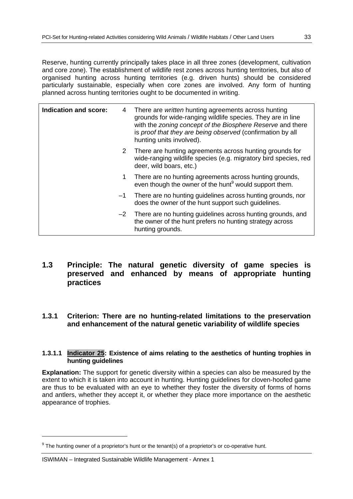Reserve, hunting currently principally takes place in all three zones (development, cultivation and core zone). The establishment of wildlife rest zones across hunting territories, but also of organised hunting across hunting territories (e.g. driven hunts) should be considered particularly sustainable, especially when core zones are involved. Any form of hunting planned across hunting territories ought to be documented in writing.

| Indication and score: | 4    | There are <i>written</i> hunting agreements across hunting<br>grounds for wide-ranging wildlife species. They are in line<br>with the zoning concept of the Biosphere Reserve and there<br>is proof that they are being observed (confirmation by all<br>hunting units involved). |
|-----------------------|------|-----------------------------------------------------------------------------------------------------------------------------------------------------------------------------------------------------------------------------------------------------------------------------------|
|                       | 2    | There are hunting agreements across hunting grounds for<br>wide-ranging wildlife species (e.g. migratory bird species, red<br>deer, wild boars, etc.)                                                                                                                             |
|                       | 1.   | There are no hunting agreements across hunting grounds,<br>even though the owner of the hunt <sup>9</sup> would support them.                                                                                                                                                     |
|                       | $-1$ | There are no hunting guidelines across hunting grounds, nor<br>does the owner of the hunt support such guidelines.                                                                                                                                                                |
|                       | $-2$ | There are no hunting guidelines across hunting grounds, and<br>the owner of the hunt prefers no hunting strategy across<br>hunting grounds.                                                                                                                                       |

## **1.3 Principle: The natural genetic diversity of game species is preserved and enhanced by means of appropriate hunting practices**

**1.3.1 Criterion: There are no hunting-related limitations to the preservation and enhancement of the natural genetic variability of wildlife species** 

#### **1.3.1.1 Indicator 25: Existence of aims relating to the aesthetics of hunting trophies in hunting guidelines**

**Explanation:** The support for genetic diversity within a species can also be measured by the extent to which it is taken into account in hunting. Hunting guidelines for cloven-hoofed game are thus to be evaluated with an eye to whether they foster the diversity of forms of horns and antlers, whether they accept it, or whether they place more importance on the aesthetic appearance of trophies.

-

 $9$  The hunting owner of a proprietor's hunt or the tenant(s) of a proprietor's or co-operative hunt.

ISWIMAN – Integrated Sustainable Wildlife Management - Annex 1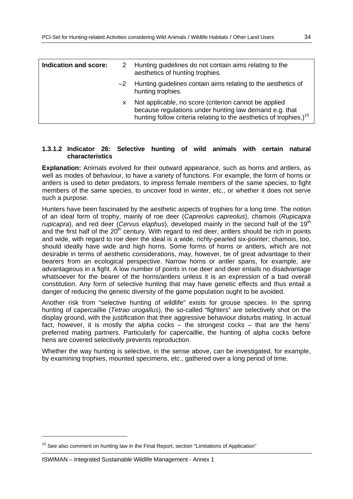| Indication and score: |    | 2 Hunting guidelines do not contain aims relating to the<br>aesthetics of hunting trophies.                                                                                                       |
|-----------------------|----|---------------------------------------------------------------------------------------------------------------------------------------------------------------------------------------------------|
|                       |    | $-2$ Hunting guidelines contain aims relating to the aesthetics of<br>hunting trophies.                                                                                                           |
|                       | X. | Not applicable, no score (criterion cannot be applied<br>because regulations under hunting law demand e.g. that<br>hunting follow criteria relating to the aesthetics of trophies.) <sup>10</sup> |

#### **1.3.1.2 Indicator 26: Selective hunting of wild animals with certain natural characteristics**

**Explanation:** Animals evolved for their outward appearance, such as horns and antlers, as well as modes of behaviour, to have a variety of functions. For example, the form of horns or antlers is used to deter predators, to impress female members of the same species, to fight members of the same species, to uncover food in winter, etc., or whether it does not serve such a purpose.

Hunters have been fascinated by the aesthetic aspects of trophies for a long time. The notion of an ideal form of trophy, mainly of roe deer (*Capreolus capreolus*), chamois (*Rupicapra rupicapra*), and red deer *(Cervus elaphus)*, developed mainly in the second half of the 19<sup>th</sup> and the first half of the  $20<sup>th</sup>$  century. With regard to red deer, antlers should be rich in points and wide, with regard to roe deer the ideal is a wide, richly-pearled six-pointer; chamois, too, should ideally have wide and high horns. Some forms of horns or antlers, which are not desirable in terms of aesthetic considerations, may, however, be of great advantage to their bearers from an ecological perspective. Narrow horns or antler spans, for example, are advantageous in a fight. A low number of points in roe deer and deer entails no disadvantage whatsoever for the bearer of the horns/antlers unless it is an expression of a bad overall constitution. Any form of selective hunting that may have genetic effects and thus entail a danger of reducing the genetic diversity of the game population ought to be avoided.

Another risk from "selective hunting of wildlife" exists for grouse species. In the spring hunting of capercaillie (*Tetrao urogallus*), the so-called "fighters" are selectively shot on the display ground, with the justification that their aggressive behaviour disturbs mating. In actual fact, however, it is mostly the alpha cocks – the strongest cocks – that are the hens' preferred mating partners. Particularly for capercaillie, the hunting of alpha cocks before hens are covered selectively prevents reproduction.

Whether the way hunting is selective, in the sense above, can be investigated, for example, by examining trophies, mounted specimens, etc., gathered over a long period of time.

-

 $10$  See also comment on hunting law in the Final Report, section "Limitations of Application"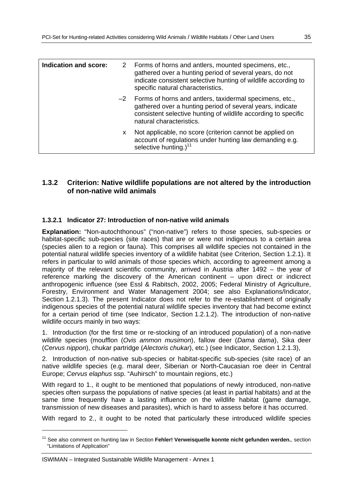| Indication and score: |    | 2 Forms of horns and antiers, mounted specimens, etc.,<br>gathered over a hunting period of several years, do not<br>indicate consistent selective hunting of wildlife according to<br>specific natural characteristics. |
|-----------------------|----|--------------------------------------------------------------------------------------------------------------------------------------------------------------------------------------------------------------------------|
|                       |    | -2 Forms of horns and antlers, taxidermal specimens, etc.,<br>gathered over a hunting period of several years, indicate<br>consistent selective hunting of wildlife according to specific<br>natural characteristics.    |
|                       | x. | Not applicable, no score (criterion cannot be applied on<br>account of regulations under hunting law demanding e.g.<br>selective hunting.) <sup>11</sup>                                                                 |

## **1.3.2 Criterion: Native wildlife populations are not altered by the introduction of non-native wild animals**

#### **1.3.2.1 Indicator 27: Introduction of non-native wild animals**

**Explanation:** "Non-autochthonous" ("non-native") refers to those species, sub-species or habitat-specific sub-species (site races) that are or were not indigenous to a certain area (species alien to a region or fauna). This comprises all wildlife species not contained in the potential natural wildlife species inventory of a wildlife habitat (see Criterion, Section 1.2.1). It refers in particular to wild animals of those species which, according to agreement among a majority of the relevant scientific community, arrived in Austria after 1492 – the year of reference marking the discovery of the American continent – upon direct or indicrect anthropogenic influence (see Essl & Rabitsch, 2002, 2005; Federal Ministry of Agriculture, Forestry, Environment and Water Management 2004; see also Explanations/Indicator, Section 1.2.1.3). The present Indicator does not refer to the re-establishment of originally indigenous species of the potential natural wildlife species inventory that had become extinct for a certain period of time (see Indicator, Section 1.2.1.2). The introduction of non-native wildlife occurs mainly in two ways:

1. Introduction (for the first time or re-stocking of an introduced population) of a non-native wildlife species (moufflon (*Ovis ammon musimon*), fallow deer (*Dama dama*), Sika deer (*Cervus nippon*), chukar partridge (*Alectoris chukar*), etc.) (see Indicator, Section 1.2.1.3),

2. Introduction of non-native sub-species or habitat-specific sub-species (site race) of an native wildlife species (e.g. maral deer, Siberian or North-Caucasian roe deer in Central Europe; *Cervus elaphus* ssp. "Auhirsch" to mountain regions, etc.)

With regard to 1., it ought to be mentioned that populations of newly introduced, non-native species often surpass the populations of native species (at least in partial habitats) and at the same time frequently have a lasting influence on the wildlife habitat (game damage, transmission of new diseases and parasites), which is hard to assess before it has occurred.

With regard to 2., it ought to be noted that particularly these introduced wildlife species

ISWIMAN – Integrated Sustainable Wildlife Management - Annex 1

 $\overline{a}$ 

<sup>11</sup> See also comment on hunting law in Section **Fehler! Verweisquelle konnte nicht gefunden werden.**, section "Limitations of Application"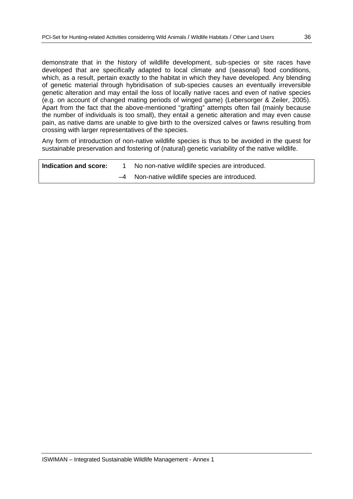demonstrate that in the history of wildlife development, sub-species or site races have developed that are specifically adapted to local climate and (seasonal) food conditions, which, as a result, pertain exactly to the habitat in which they have developed. Any blending of genetic material through hybridisation of sub-species causes an eventually irreversible genetic alteration and may entail the loss of locally native races and even of native species (e.g. on account of changed mating periods of winged game) (Lebersorger & Zeiler, 2005). Apart from the fact that the above-mentioned "grafting" attempts often fail (mainly because the number of individuals is too small), they entail a genetic alteration and may even cause pain, as native dams are unable to give birth to the oversized calves or fawns resulting from crossing with larger representatives of the species.

Any form of introduction of non-native wildlife species is thus to be avoided in the quest for sustainable preservation and fostering of (natural) genetic variability of the native wildlife.

| Indication and score: | No non-native wildlife species are introduced. |
|-----------------------|------------------------------------------------|
|                       | -4 Non-native wildlife species are introduced. |
|                       |                                                |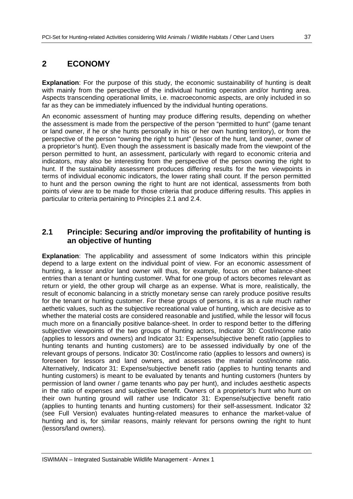## **2 ECONOMY**

**Explanation**: For the purpose of this study, the economic sustainability of hunting is dealt with mainly from the perspective of the individual hunting operation and/or hunting area. Aspects transcending operational limits, i.e. macroeconomic aspects, are only included in so far as they can be immediately influenced by the individual hunting operations.

An economic assessment of hunting may produce differing results, depending on whether the assessment is made from the perspective of the person "permitted to hunt" (game tenant or land owner, if he or she hunts personally in his or her own hunting territory), or from the perspective of the person "owning the right to hunt" (lessor of the hunt, land owner, owner of a proprietor's hunt). Even though the assessment is basically made from the viewpoint of the person permitted to hunt, an assessment, particularly with regard to economic criteria and indicators, may also be interesting from the perspective of the person owning the right to hunt. If the sustainability assessment produces differing results for the two viewpoints in terms of individual economic indicators, the lower rating shall count. If the person permitted to hunt and the person owning the right to hunt are not identical, assessments from both points of view are to be made for those criteria that produce differing results. This applies in particular to criteria pertaining to Principles 2.1 and 2.4.

## **2.1 Principle: Securing and/or improving the profitability of hunting is an objective of hunting**

**Explanation**: The applicability and assessment of some Indicators within this principle depend to a large extent on the individual point of view. For an economic assessment of hunting, a lessor and/or land owner will thus, for example, focus on other balance-sheet entries than a tenant or hunting customer. What for one group of actors becomes relevant as return or yield, the other group will charge as an expense. What is more, realistically, the result of economic balancing in a strictly monetary sense can rarely produce positive results for the tenant or hunting customer. For these groups of persons, it is as a rule much rather aethetic values, such as the subjective recreational value of hunting, which are decisive as to whether the material costs are considered reasonable and justified, while the lessor will focus much more on a financially positive balance-sheet. In order to respond better to the differing subjective viewpoints of the two groups of hunting actors, Indicator 30: Cost/income ratio (applies to lessors and owners) and Indicator 31: Expense/subjective benefit ratio (applies to hunting tenants and hunting customers) are to be assessed individually by one of the relevant groups of persons. Indicator 30: Cost/income ratio (applies to lessors and owners) is foreseen for lessors and land owners, and assesses the material cost/income ratio. Alternatively, Indicator 31: Expense/subjective benefit ratio (applies to hunting tenants and hunting customers) is meant to be evaluated by tenants and hunting customers (hunters by permission of land owner / game tenants who pay per hunt), and includes aesthetic aspects in the ratio of expenses and subjective benefit. Owners of a proprietor's hunt who hunt on their own hunting ground will rather use Indicator 31: Expense/subjective benefit ratio (applies to hunting tenants and hunting customers) for their self-assessment. Indicator 32 (see Full Version) evaluates hunting-related measures to enhance the market-value of hunting and is, for similar reasons, mainly relevant for persons owning the right to hunt (lessors/land owners).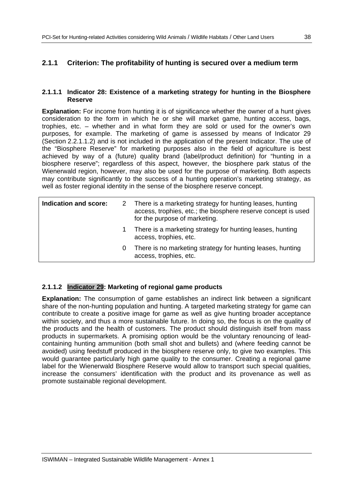## **2.1.1 Criterion: The profitability of hunting is secured over a medium term**

#### **2.1.1.1 Indicator 28: Existence of a marketing strategy for hunting in the Biosphere Reserve**

**Explanation:** For income from hunting it is of significance whether the owner of a hunt gives consideration to the form in which he or she will market game, hunting access, bags, trophies, etc. – whether and in what form they are sold or used for the owner's own purposes, for example. The marketing of game is assessed by means of Indicator 29 (Section 2.2.1.1.2) and is not included in the application of the present Indicator. The use of the "Biosphere Reserve" for marketing purposes also in the field of agriculture is best achieved by way of a (future) quality brand (label/product definition) for "hunting in a biosphere reserve"; regardless of this aspect, however, the biosphere park status of the Wienerwald region, however, may also be used for the purpose of marketing. Both aspects may contribute significantly to the success of a hunting operation's marketing strategy, as well as foster regional identity in the sense of the biosphere reserve concept.

| Indication and score: |   | 2 There is a marketing strategy for hunting leases, hunting<br>access, trophies, etc.; the biosphere reserve concept is used<br>for the purpose of marketing. |
|-----------------------|---|---------------------------------------------------------------------------------------------------------------------------------------------------------------|
|                       |   | There is a marketing strategy for hunting leases, hunting<br>access, trophies, etc.                                                                           |
|                       | 0 | There is no marketing strategy for hunting leases, hunting<br>access, trophies, etc.                                                                          |

## **2.1.1.2 Indicator 29: Marketing of regional game products**

**Explanation:** The consumption of game establishes an indirect link between a significant share of the non-hunting population and hunting. A targeted marketing strategy for game can contribute to create a positive image for game as well as give hunting broader acceptance within society, and thus a more sustainable future. In doing so, the focus is on the quality of the products and the health of customers. The product should distinguish itself from mass products in supermarkets. A promising option would be the voluntary renouncing of leadcontaining hunting ammunition (both small shot and bullets) and (where feeding cannot be avoided) using feedstuff produced in the biosphere reserve only, to give two examples. This would guarantee particularly high game quality to the consumer. Creating a regional game label for the Wienerwald Biosphere Reserve would allow to transport such special qualities, increase the consumers' identification with the product and its provenance as well as promote sustainable regional development.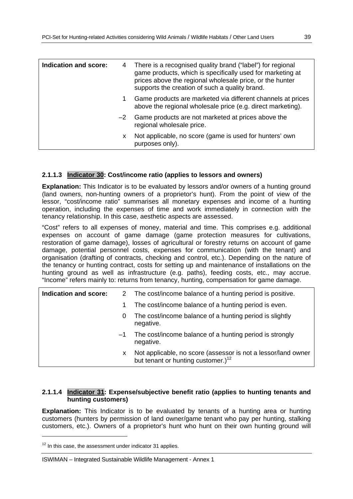| <b>Indication and score:</b> | 4    | There is a recognised quality brand ("label") for regional<br>game products, which is specifically used for marketing at<br>prices above the regional wholesale price, or the hunter<br>supports the creation of such a quality brand. |
|------------------------------|------|----------------------------------------------------------------------------------------------------------------------------------------------------------------------------------------------------------------------------------------|
|                              | 1    | Game products are marketed via different channels at prices<br>above the regional wholesale price (e.g. direct marketing).                                                                                                             |
|                              | $-2$ | Game products are not marketed at prices above the<br>regional wholesale price.                                                                                                                                                        |
|                              | x.   | Not applicable, no score (game is used for hunters' own<br>purposes only).                                                                                                                                                             |
|                              |      |                                                                                                                                                                                                                                        |

## **2.1.1.3 Indicator 30: Cost/income ratio (applies to lessors and owners)**

**Explanation:** This Indicator is to be evaluated by lessors and/or owners of a hunting ground (land owners, non-hunting owners of a proprietor's hunt). From the point of view of the lessor, "cost/income ratio" summarises all monetary expenses and income of a hunting operation, including the expenses of time and work immediately in connection with the tenancy relationship. In this case, aesthetic aspects are assessed.

"Cost" refers to all expenses of money, material and time. This comprises e.g. additional expenses on account of game damage (game protection measures for cultivations, restoration of game damage), losses of agricultural or forestry returns on account of game damage, potential personnel costs, expenses for communication (with the tenant) and organisation (drafting of contracts, checking and control, etc.). Depending on the nature of the tenancy or hunting contract, costs for setting up and maintenance of installations on the hunting ground as well as infrastructure (e.g. paths), feeding costs, etc., may accrue. "Income" refers mainly to: returns from tenancy, hunting, compensation for game damage.

| Indication and score: |      | 2 The cost/income balance of a hunting period is positive.                                                      |
|-----------------------|------|-----------------------------------------------------------------------------------------------------------------|
|                       |      | The cost/income balance of a hunting period is even.                                                            |
|                       | 0    | The cost/income balance of a hunting period is slightly<br>negative.                                            |
|                       | $-1$ | The cost/income balance of a hunting period is strongly<br>negative.                                            |
|                       | x    | Not applicable, no score (assessor is not a lessor/land owner<br>but tenant or hunting customer.) <sup>12</sup> |

## **2.1.1.4 Indicator 31: Expense/subjective benefit ratio (applies to hunting tenants and hunting customers)**

**Explanation:** This Indicator is to be evaluated by tenants of a hunting area or hunting customers (hunters by permission of land owner/game tenant who pay per hunting, stalking customers, etc.). Owners of a proprietor's hunt who hunt on their own hunting ground will

-

 $12$  In this case, the assessment under indicator 31 applies.

ISWIMAN – Integrated Sustainable Wildlife Management - Annex 1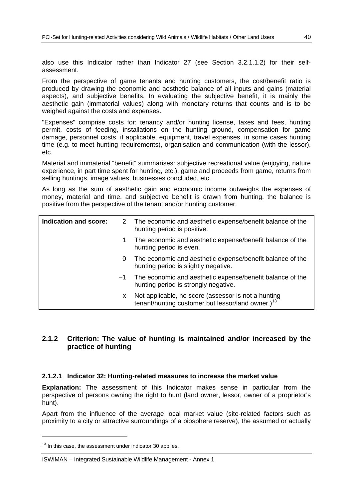also use this Indicator rather than Indicator 27 (see Section 3.2.1.1.2) for their selfassessment.

From the perspective of game tenants and hunting customers, the cost/benefit ratio is produced by drawing the economic and aesthetic balance of all inputs and gains (material aspects), and subjective benefits. In evaluating the subjective benefit, it is mainly the aesthetic gain (immaterial values) along with monetary returns that counts and is to be weighed against the costs and expenses.

"Expenses" comprise costs for: tenancy and/or hunting license, taxes and fees, hunting permit, costs of feeding, installations on the hunting ground, compensation for game damage, personnel costs, if applicable, equipment, travel expenses, in some cases hunting time (e.g. to meet hunting requirements), organisation and communication (with the lessor), etc.

Material and immaterial "benefit" summarises: subjective recreational value (enjoying, nature experience, in part time spent for hunting, etc.), game and proceeds from game, returns from selling huntings, image values, businesses concluded, etc.

As long as the sum of aesthetic gain and economic income outweighs the expenses of money, material and time, and subjective benefit is drawn from hunting, the balance is positive from the perspective of the tenant and/or hunting customer.

| Indication and score: |      | 2 The economic and aesthetic expense/benefit balance of the<br>hunting period is positive.                           |
|-----------------------|------|----------------------------------------------------------------------------------------------------------------------|
|                       | 1.   | The economic and aesthetic expense/benefit balance of the<br>hunting period is even.                                 |
|                       | 0    | The economic and aesthetic expense/benefit balance of the<br>hunting period is slightly negative.                    |
|                       | $-1$ | The economic and aesthetic expense/benefit balance of the<br>hunting period is strongly negative.                    |
|                       | x    | Not applicable, no score (assessor is not a hunting<br>tenant/hunting customer but lessor/land owner.) <sup>13</sup> |

## **2.1.2 Criterion: The value of hunting is maintained and/or increased by the practice of hunting**

#### **2.1.2.1 Indicator 32: Hunting-related measures to increase the market value**

**Explanation:** The assessment of this Indicator makes sense in particular from the perspective of persons owning the right to hunt (land owner, lessor, owner of a proprietor's hunt).

Apart from the influence of the average local market value (site-related factors such as proximity to a city or attractive surroundings of a biosphere reserve), the assumed or actually

-

 $13$  In this case, the assessment under indicator 30 applies.

ISWIMAN – Integrated Sustainable Wildlife Management - Annex 1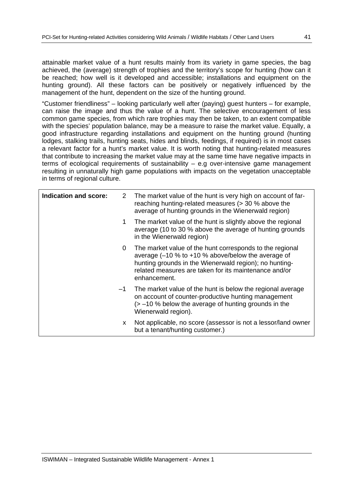attainable market value of a hunt results mainly from its variety in game species, the bag achieved, the (average) strength of trophies and the territory's scope for hunting (how can it be reached; how well is it developed and accessible; installations and equipment on the hunting ground). All these factors can be positively or negatively influenced by the management of the hunt, dependent on the size of the hunting ground.

"Customer friendliness" – looking particularly well after (paying) guest hunters – for example, can raise the image and thus the value of a hunt. The selective encouragement of less common game species, from which rare trophies may then be taken, to an extent compatible with the species' population balance, may be a measure to raise the market value. Equally, a good infrastructure regarding installations and equipment on the hunting ground (hunting lodges, stalking trails, hunting seats, hides and blinds, feedings, if required) is in most cases a relevant factor for a hunt's market value. It is worth noting that hunting-related measures that contribute to increasing the market value may at the same time have negative impacts in terms of ecological requirements of sustainability – e.g over-intensive game management resulting in unnaturally high game populations with impacts on the vegetation unacceptable in terms of regional culture.

| Indication and score: | 2    | The market value of the hunt is very high on account of far-<br>reaching hunting-related measures (> 30 % above the<br>average of hunting grounds in the Wienerwald region)                                                                            |
|-----------------------|------|--------------------------------------------------------------------------------------------------------------------------------------------------------------------------------------------------------------------------------------------------------|
|                       | 1.   | The market value of the hunt is slightly above the regional<br>average (10 to 30 % above the average of hunting grounds<br>in the Wienerwald region)                                                                                                   |
|                       | 0    | The market value of the hunt corresponds to the regional<br>average $(-10 \% to +10 \% above/b$ elow the average of<br>hunting grounds in the Wienerwald region); no hunting-<br>related measures are taken for its maintenance and/or<br>enhancement. |
|                       | $-1$ | The market value of the hunt is below the regional average<br>on account of counter-productive hunting management<br>$\ge$ -10 % below the average of hunting grounds in the<br>Wienerwald region).                                                    |
|                       | X.   | Not applicable, no score (assessor is not a lessor/land owner<br>but a tenant/hunting customer.)                                                                                                                                                       |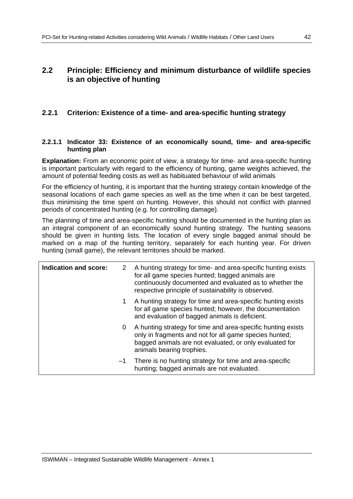## **2.2 Principle: Efficiency and minimum disturbance of wildlife species is an objective of hunting**

## **2.2.1 Criterion: Existence of a time- and area-specific hunting strategy**

## **2.2.1.1 Indicator 33: Existence of an economically sound, time- and area-specific hunting plan**

**Explanation:** From an economic point of view, a strategy for time- and area-specific hunting is important particularly with regard to the efficiency of hunting, game weights achieved, the amount of potential feeding costs as well as habituated behaviour of wild animals

For the efficiency of hunting, it is important that the hunting strategy contain knowledge of the seasonal locations of each game species as well as the time when it can be best targeted, thus minimising the time spent on hunting. However, this should not conflict with planned periods of concentrated hunting (e.g. for controlling damage).

The planning of time and area-specific hunting should be documented in the hunting plan as an integral component of an economically sound hunting strategy. The hunting seasons should be given in hunting lists. The location of every single bagged animal should be marked on a map of the hunting territory, separately for each hunting year. For driven hunting (small game), the relevant territories should be marked.

| Indication and score: | 2    | A hunting strategy for time- and area-specific hunting exists<br>for all game species hunted; bagged animals are<br>continuously documented and evaluated as to whether the<br>respective principle of sustainability is observed. |
|-----------------------|------|------------------------------------------------------------------------------------------------------------------------------------------------------------------------------------------------------------------------------------|
|                       | 1.   | A hunting strategy for time and area-specific hunting exists<br>for all game species hunted; however, the documentation<br>and evaluation of bagged animals is deficient.                                                          |
|                       | 0    | A hunting strategy for time and area-specific hunting exists<br>only in fragments and not for all game species hunted;<br>bagged animals are not evaluated, or only evaluated for<br>animals bearing trophies.                     |
|                       | $-1$ | There is no hunting strategy for time and area-specific<br>hunting; bagged animals are not evaluated.                                                                                                                              |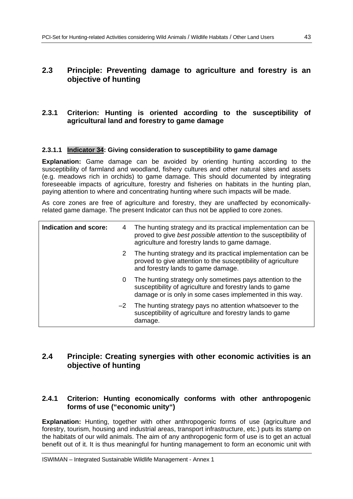## **2.3 Principle: Preventing damage to agriculture and forestry is an objective of hunting**

## **2.3.1 Criterion: Hunting is oriented according to the susceptibility of agricultural land and forestry to game damage**

## **2.3.1.1 Indicator 34: Giving consideration to susceptibility to game damage**

**Explanation:** Game damage can be avoided by orienting hunting according to the susceptibility of farmland and woodland, fishery cultures and other natural sites and assets (e.g. meadows rich in orchids) to game damage. This should documented by integrating foreseeable impacts of agriculture, forestry and fisheries on habitats in the hunting plan, paying attention to where and concentrating hunting where such impacts will be made.

As core zones are free of agriculture and forestry, they are unaffected by economicallyrelated game damage. The present Indicator can thus not be applied to core zones.

| Indication and score: | 4 | The hunting strategy and its practical implementation can be<br>proved to give best possible attention to the susceptibility of<br>agriculture and forestry lands to game damage. |
|-----------------------|---|-----------------------------------------------------------------------------------------------------------------------------------------------------------------------------------|
|                       | 2 | The hunting strategy and its practical implementation can be<br>proved to give attention to the susceptibility of agriculture<br>and forestry lands to game damage.               |
|                       | 0 | The hunting strategy only sometimes pays attention to the<br>susceptibility of agriculture and forestry lands to game<br>damage or is only in some cases implemented in this way. |
| $-2$                  |   | The hunting strategy pays no attention whatsoever to the<br>susceptibility of agriculture and forestry lands to game<br>damage.                                                   |

## **2.4 Principle: Creating synergies with other economic activities is an objective of hunting**

## **2.4.1 Criterion: Hunting economically conforms with other anthropogenic forms of use ("economic unity")**

**Explanation:** Hunting, together with other anthropogenic forms of use (agriculture and forestry, tourism, housing and industrial areas, transport infrastructure, etc.) puts its stamp on the habitats of our wild animals. The aim of any anthropogenic form of use is to get an actual benefit out of it. It is thus meaningful for hunting management to form an economic unit with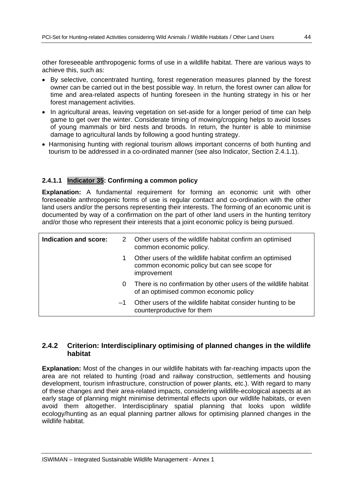other foreseeable anthropogenic forms of use in a wildlife habitat. There are various ways to achieve this, such as:

- By selective, concentrated hunting, forest regeneration measures planned by the forest owner can be carried out in the best possible way. In return, the forest owner can allow for time and area-related aspects of hunting foreseen in the hunting strategy in his or her forest management activities.
- In agricultural areas, leaving vegetation on set-aside for a longer period of time can help game to get over the winter. Considerate timing of mowing/cropping helps to avoid losses of young mammals or bird nests and broods. In return, the hunter is able to minimise damage to agricultural lands by following a good hunting strategy.
- Harmonising hunting with regional tourism allows important concerns of both hunting and tourism to be addressed in a co-ordinated manner (see also Indicator, Section 2.4.1.1).

## **2.4.1.1 Indicator 35: Confirming a common policy**

**Explanation:** A fundamental requirement for forming an economic unit with other foreseeable anthropogenic forms of use is regular contact and co-ordination with the other land users and/or the persons representing their interests. The forming of an economic unit is documented by way of a confirmation on the part of other land users in the hunting territory and/or those who represent their interests that a joint economic policy is being pursued.

| Indication and score: |      | 2 Other users of the wildlife habitat confirm an optimised<br>common economic policy.                                   |
|-----------------------|------|-------------------------------------------------------------------------------------------------------------------------|
|                       |      | Other users of the wildlife habitat confirm an optimised<br>common economic policy but can see scope for<br>improvement |
|                       | 0    | There is no confirmation by other users of the wildlife habitat<br>of an optimised common economic policy               |
|                       | $-1$ | Other users of the wildlife habitat consider hunting to be<br>counterproductive for them                                |

## **2.4.2 Criterion: Interdisciplinary optimising of planned changes in the wildlife habitat**

**Explanation:** Most of the changes in our wildlife habitats with far-reaching impacts upon the area are not related to hunting (road and railway construction, settlements and housing development, tourism infrastructure, construction of power plants, etc.). With regard to many of these changes and their area-related impacts, considering wildlife-ecological aspects at an early stage of planning might minimise detrimental effects upon our wildlife habitats, or even avoid them altogether. Interdisciplinary spatial planning that looks upon wildlife ecology/hunting as an equal planning partner allows for optimising planned changes in the wildlife habitat.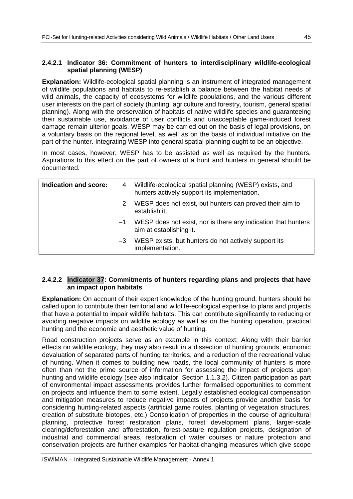## **2.4.2.1 Indicator 36: Commitment of hunters to interdisciplinary wildlife-ecological spatial planning (WESP)**

**Explanation:** Wildlife-ecological spatial planning is an instrument of integrated management of wildlife populations and habitats to re-establish a balance between the habitat needs of wild animals, the capacity of ecosystems for wildlife populations, and the various different user interests on the part of society (hunting, agriculture and forestry, tourism, general spatial planning). Along with the preservation of habitats of native wildlife species and guaranteeing their sustainable use, avoidance of user conflicts and unacceptable game-induced forest damage remain ulterior goals. WESP may be carried out on the basis of legal provisions, on a voluntary basis on the regional level, as well as on the basis of individual initiative on the part of the hunter. Integrating WESP into general spatial planning ought to be an objective.

In most cases, however, WESP has to be assisted as well as required by the hunters. Aspirations to this effect on the part of owners of a hunt and hunters in general should be documented.

| Indication and score: |      | 4 Wildlife-ecological spatial planning (WESP) exists, and<br>hunters actively support its implementation. |
|-----------------------|------|-----------------------------------------------------------------------------------------------------------|
|                       | 2    | WESP does not exist, but hunters can proved their aim to<br>establish it.                                 |
|                       | $-1$ | WESP does not exist, nor is there any indication that hunters<br>aim at establishing it.                  |
|                       | $-3$ | WESP exists, but hunters do not actively support its<br>implementation.                                   |

## **2.4.2.2 Indicator 37: Commitments of hunters regarding plans and projects that have an impact upon habitats**

**Explanation:** On account of their expert knowledge of the hunting ground, hunters should be called upon to contribute their territorial and wildlife-ecological expertise to plans and projects that have a potential to impair wildlife habitats. This can contribute significantly to reducing or avoiding negative impacts on wildlife ecology as well as on the hunting operation, practical hunting and the economic and aesthetic value of hunting.

Road construction projects serve as an example in this context: Along with their barrier effects on wildlife ecology, they may also result in a dissection of hunting grounds, economic devaluation of separated parts of hunting territories, and a reduction of the recreational value of hunting. When it comes to building new roads, the local community of hunters is more often than not the prime source of information for assessing the impact of projects upon hunting and wildlife ecology (see also Indicator, Section 1.1.3.2). Citizen participation as part of environmental impact assessments provides further formalised opportunities to comment on projects and influence them to some extent. Legally established ecological compensation and mitigation measures to reduce negative impacts of projects provide another basis for considering hunting-related aspects (artificial game routes, planting of vegetation structures, creation of substitute biotopes, etc.) Consolidation of properties in the course of agricultural planning, protective forest restoration plans, forest development plans, larger-scale clearing/deforestation and afforestation, forest-pasture regulation projects, designation of industrial and commercial areas, restoration of water courses or nature protection and conservation projects are further examples for habitat-changing measures which give scope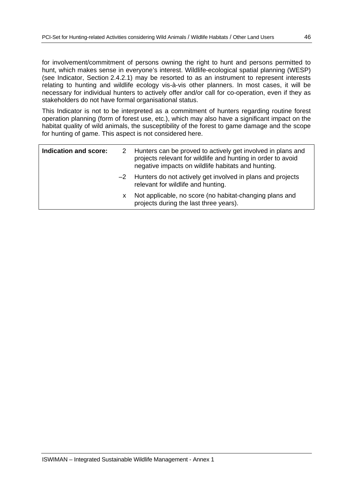for involvement/commitment of persons owning the right to hunt and persons permitted to hunt, which makes sense in everyone's interest. Wildlife-ecological spatial planning (WESP) (see Indicator, Section 2.4.2.1) may be resorted to as an instrument to represent interests relating to hunting and wildlife ecology vis-à-vis other planners. In most cases, it will be necessary for individual hunters to actively offer and/or call for co-operation, even if they as stakeholders do not have formal organisational status.

This Indicator is not to be interpreted as a commitment of hunters regarding routine forest operation planning (form of forest use, etc.), which may also have a significant impact on the habitat quality of wild animals, the susceptibility of the forest to game damage and the scope for hunting of game. This aspect is not considered here.

| Indication and score: |   | 2 Hunters can be proved to actively get involved in plans and<br>projects relevant for wildlife and hunting in order to avoid<br>negative impacts on wildlife habitats and hunting. |
|-----------------------|---|-------------------------------------------------------------------------------------------------------------------------------------------------------------------------------------|
|                       |   | $-2$ Hunters do not actively get involved in plans and projects<br>relevant for wildlife and hunting.                                                                               |
|                       | x | Not applicable, no score (no habitat-changing plans and<br>projects during the last three years).                                                                                   |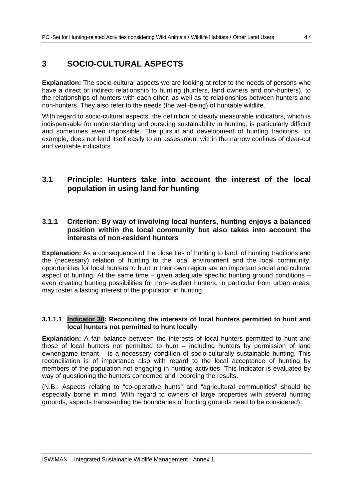## **3 SOCIO-CULTURAL ASPECTS**

**Explanation:** The socio-cultural aspects we are looking at refer to the needs of persons who have a direct or indirect relationship to hunting (hunters, land owners and non-hunters), to the relationships of hunters with each other, as well as to relationships between hunters and non-hunters. They also refer to the needs (the well-being) of huntable wildlife.

With regard to socio-cultural aspects, the definition of clearly measurable indicators, which is indispensable for understanding and pursuing sustainability in hunting, is particularly difficult and sometimes even impossible. The pursuit and development of hunting traditions, for example, does not lend itself easily to an assessment within the narrow confines of clear-cut and verifiable indicators.

## **3.1 Principle: Hunters take into account the interest of the local population in using land for hunting**

## **3.1.1 Criterion: By way of involving local hunters, hunting enjoys a balanced position within the local community but also takes into account the interests of non-resident hunters**

**Explanation:** As a consequence of the close ties of hunting to land, of hunting traditions and the (necessary) relation of hunting to the local environment and the local community, opportunities for local hunters to hunt in their own region are an important social and cultural aspect of hunting. At the same time – given adequate specific hunting ground conditions – even creating hunting possibilities for non-resident hunters, in particular from urban areas, may foster a lasting interest of the population in hunting.

## **3.1.1.1 Indicator 38: Reconciling the interests of local hunters permitted to hunt and local hunters not permitted to hunt locally**

**Explanation:** A fair balance between the interests of local hunters permitted to hunt and those of local hunters not permitted to hunt – including hunters by permission of land owner/game tenant – is a necessary condition of socio-culturally sustainable hunting. This reconciliation is of importance also with regard to the local acceptance of hunting by members of the population not engaging in hunting activities. This Indicator is evaluated by way of questioning the hunters concerned and recording the results.

(N.B.: Aspects relating to "co-operative hunts" and "agricultural communities" should be especially borne in mind. With regard to owners of large properties with several hunting grounds, aspects transcending the boundaries of hunting grounds need to be considered).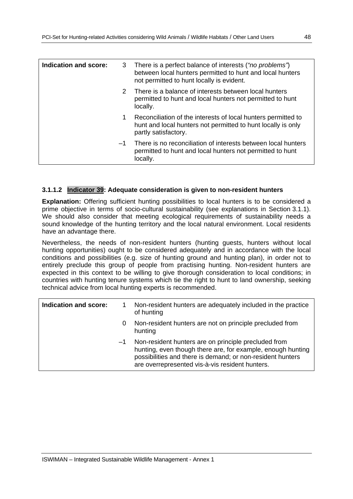| Indication and score: |      | 3 There is a perfect balance of interests ("no problems")<br>between local hunters permitted to hunt and local hunters<br>not permitted to hunt locally is evident. |
|-----------------------|------|---------------------------------------------------------------------------------------------------------------------------------------------------------------------|
|                       | 2    | There is a balance of interests between local hunters<br>permitted to hunt and local hunters not permitted to hunt<br>locally.                                      |
|                       | 1.   | Reconciliation of the interests of local hunters permitted to<br>hunt and local hunters not permitted to hunt locally is only<br>partly satisfactory.               |
|                       | $-1$ | There is no reconciliation of interests between local hunters<br>permitted to hunt and local hunters not permitted to hunt<br>locally.                              |

## **3.1.1.2 Indicator 39: Adequate consideration is given to non-resident hunters**

**Explanation:** Offering sufficient hunting possibilities to local hunters is to be considered a prime objective in terms of socio-cultural sustainability (see explanations in Section 3.1.1). We should also consider that meeting ecological requirements of sustainability needs a sound knowledge of the hunting territory and the local natural environment. Local residents have an advantage there.

Nevertheless, the needs of non-resident hunters (hunting guests, hunters without local hunting opportunities) ought to be considered adequately and in accordance with the local conditions and possibilities (e.g. size of hunting ground and hunting plan), in order not to entirely preclude this group of people from practising hunting. Non-resident hunters are expected in this context to be willing to give thorough consideration to local conditions; in countries with hunting tenure systems which tie the right to hunt to land ownership, seeking technical advice from local hunting experts is recommended.

| Indication and score: |      | Non-resident hunters are adequately included in the practice<br>of hunting                                                                                                                                                           |
|-----------------------|------|--------------------------------------------------------------------------------------------------------------------------------------------------------------------------------------------------------------------------------------|
|                       | 0    | Non-resident hunters are not on principle precluded from<br>hunting                                                                                                                                                                  |
|                       | $-1$ | Non-resident hunters are on principle precluded from<br>hunting, even though there are, for example, enough hunting<br>possibilities and there is demand; or non-resident hunters<br>are overrepresented vis-à-vis resident hunters. |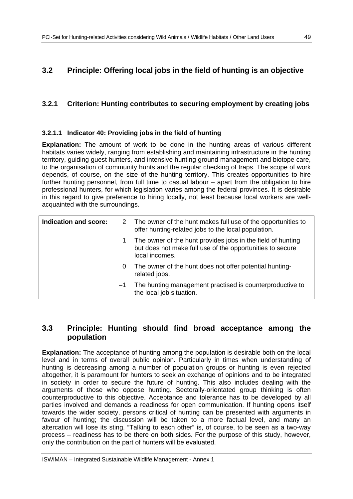## **3.2 Principle: Offering local jobs in the field of hunting is an objective**

## **3.2.1 Criterion: Hunting contributes to securing employment by creating jobs**

## **3.2.1.1 Indicator 40: Providing jobs in the field of hunting**

**Explanation:** The amount of work to be done in the hunting areas of various different habitats varies widely, ranging from establishing and maintaining infrastructure in the hunting territory, guiding guest hunters, and intensive hunting ground management and biotope care, to the organisation of community hunts and the regular checking of traps. The scope of work depends, of course, on the size of the hunting territory. This creates opportunities to hire further hunting personnel, from full time to casual labour – apart from the obligation to hire professional hunters, for which legislation varies among the federal provinces. It is desirable in this regard to give preference to hiring locally, not least because local workers are wellacquainted with the surroundings.

| Indication and score: | 2    | The owner of the hunt makes full use of the opportunities to<br>offer hunting-related jobs to the local population.                        |
|-----------------------|------|--------------------------------------------------------------------------------------------------------------------------------------------|
|                       | 1    | The owner of the hunt provides jobs in the field of hunting<br>but does not make full use of the opportunities to secure<br>local incomes. |
|                       | 0    | The owner of the hunt does not offer potential hunting-<br>related jobs.                                                                   |
|                       | $-1$ | The hunting management practised is counterproductive to<br>the local job situation.                                                       |

## **3.3 Principle: Hunting should find broad acceptance among the population**

**Explanation:** The acceptance of hunting among the population is desirable both on the local level and in terms of overall public opinion. Particularly in times when understanding of hunting is decreasing among a number of population groups or hunting is even rejected altogether, it is paramount for hunters to seek an exchange of opinions and to be integrated in society in order to secure the future of hunting. This also includes dealing with the arguments of those who oppose hunting. Sectorally-orientated group thinking is often counterproductive to this objective. Acceptance and tolerance has to be developed by all parties involved and demands a readiness for open communication. If hunting opens itself towards the wider society, persons critical of hunting can be presented with arguments in favour of hunting; the discussion will be taken to a more factual level, and many an altercation will lose its sting. "Talking to each other" is, of course, to be seen as a two-way process – readiness has to be there on both sides. For the purpose of this study, however, only the contribution on the part of hunters will be evaluated.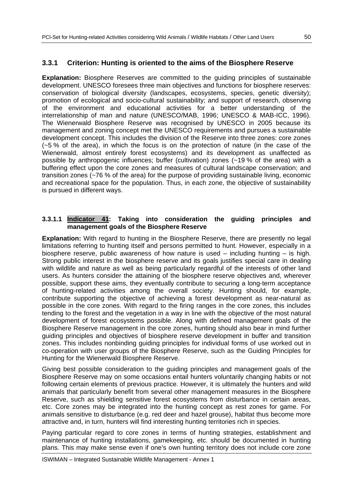## **3.3.1 Criterion: Hunting is oriented to the aims of the Biosphere Reserve**

**Explanation:** Biosphere Reserves are committed to the guiding principles of sustainable development. UNESCO foresees three main objectives and functions for biosphere reserves: conservation of biological diversity (landscapes, ecosystems, species, genetic diversity); promotion of ecological and socio-cultural sustainability; and support of research, observing of the environment and educational activities for a better understanding of the interrelationship of man and nature (UNESCO/MAB, 1996; UNESCO & MAB-ICC, 1996). The Wienerwald Biosphere Reserve was recognised by UNESCO in 2005 because its management and zoning concept met the UNESCO requirements and pursues a sustainable development concept. This includes the division of the Reserve into three zones: core zones (~5 % of the area), in which the focus is on the protection of nature (in the case of the Wienerwald, almost entirely forest ecosystems) and its development as unaffected as possible by anthropogenic influences; buffer (cultivation) zones (~19 % of the area) with a buffering effect upon the core zones and measures of cultural landscape conservation; and transition zones (~76 % of the area) for the purpose of providing sustainable living, economic and recreational space for the population. Thus, in each zone, the objective of sustainability is pursued in different ways.

#### **3.3.1.1 Indicator 41: Taking into consideration the guiding principles and management goals of the Biosphere Reserve**

**Explanation:** With regard to hunting in the Biosphere Reserve, there are presently no legal limitations referring to hunting itself and persons permitted to hunt. However, especially in a biosphere reserve, public awareness of how nature is used  $-$  including hunting  $-$  is high. Strong public interest in the biosphere reserve and its goals justifies special care in dealing with wildlife and nature as well as being particularly regardful of the interests of other land users. As hunters consider the attaining of the biosphere reserve objectives and, wherever possible, support these aims, they eventually contribute to securing a long-term acceptance of hunting-related activities among the overall society. Hunting should, for example, contribute supporting the objective of achieving a forest development as near-natural as possible in the core zones. With regard to the firing ranges in the core zones, this includes tending to the forest and the vegetation in a way in line with the objective of the most natural development of forest ecosystems possible. Along with defined management goals of the Biosphere Reserve management in the core zones, hunting should also bear in mind further guiding principles and objectives of biosphere reserve development in buffer and transition zones. This includes nonbinding guiding principles for individual forms of use worked out in co-operation with user groups of the Biosphere Reserve, such as the Guiding Principles for Hunting for the Wienerwald Biosphere Reserve.

Giving best possible consideration to the guiding principles and management goals of the Biosphere Reserve may on some occasions entail hunters voluntarily changing habits or not following certain elements of previous practice. However, it is ultimately the hunters and wild animals that particularly benefit from several other management measures in the Biosphere Reserve, such as shielding sensitive forest ecosystems from disturbance in certain areas, etc. Core zones may be integrated into the hunting concept as rest zones for game. For animals sensitive to disturbance (e.g. red deer and hazel grouse), habitat thus become more attractive and, in turn, hunters will find interesting hunting territories rich in species.

Paying particular regard to core zones in terms of hunting strategies, establishment and maintenance of hunting installations, gamekeeping, etc. should be documented in hunting plans. This may make sense even if one's own hunting territory does not include core zone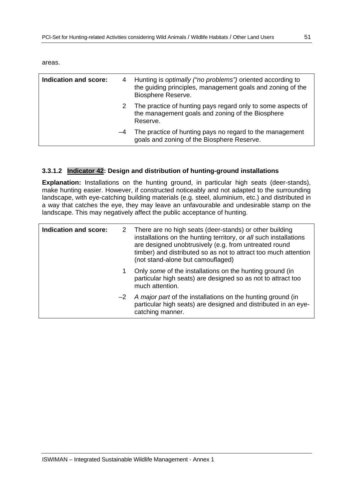areas.

| <b>Indication and score:</b> |    | 4 Hunting is optimally ("no problems") oriented according to<br>the guiding principles, management goals and zoning of the<br>Biosphere Reserve. |
|------------------------------|----|--------------------------------------------------------------------------------------------------------------------------------------------------|
|                              |    | The practice of hunting pays regard only to some aspects of<br>the management goals and zoning of the Biosphere<br>Reserve.                      |
|                              | -4 | The practice of hunting pays no regard to the management<br>goals and zoning of the Biosphere Reserve.                                           |

## **3.3.1.2 Indicator 42: Design and distribution of hunting-ground installations**

**Explanation:** Installations on the hunting ground, in particular high seats (deer-stands), make hunting easier. However, if constructed noticeably and not adapted to the surrounding landscape, with eye-catching building materials (e.g. steel, aluminium, etc.) and distributed in a way that catches the eye, they may leave an unfavourable and undesirable stamp on the landscape. This may negatively affect the public acceptance of hunting.

| Indication and score: |   | 2 There are no high seats (deer-stands) or other building<br>installations on the hunting territory, or all such installations<br>are designed unobtrusively (e.g. from untreated round<br>timber) and distributed so as not to attract too much attention<br>(not stand-alone but camouflaged) |
|-----------------------|---|-------------------------------------------------------------------------------------------------------------------------------------------------------------------------------------------------------------------------------------------------------------------------------------------------|
|                       | 1 | Only some of the installations on the hunting ground (in<br>particular high seats) are designed so as not to attract too<br>much attention.                                                                                                                                                     |
|                       |   | $-2$ A major part of the installations on the hunting ground (in<br>particular high seats) are designed and distributed in an eye-<br>catching manner.                                                                                                                                          |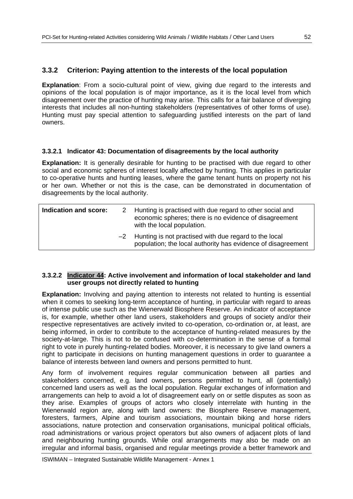## **3.3.2 Criterion: Paying attention to the interests of the local population**

**Explanation**: From a socio-cultural point of view, giving due regard to the interests and opinions of the local population is of major importance, as it is the local level from which disagreement over the practice of hunting may arise. This calls for a fair balance of diverging interests that includes all non-hunting stakeholders (representatives of other forms of use). Hunting must pay special attention to safeguarding justified interests on the part of land owners.

## **3.3.2.1 Indicator 43: Documentation of disagreements by the local authority**

**Explanation:** It is generally desirable for hunting to be practised with due regard to other social and economic spheres of interest locally affected by hunting. This applies in particular to co-operative hunts and hunting leases, where the game tenant hunts on property not his or her own. Whether or not this is the case, can be demonstrated in documentation of disagreements by the local authority.

| Indication and score: | 2 Hunting is practised with due regard to other social and<br>economic spheres; there is no evidence of disagreement<br>with the local population. |
|-----------------------|----------------------------------------------------------------------------------------------------------------------------------------------------|
|                       | $-2$ Hunting is not practised with due regard to the local<br>population; the local authority has evidence of disagreement                         |

## **3.3.2.2 Indicator 44: Active involvement and information of local stakeholder and land user groups not directly related to hunting**

**Explanation:** Involving and paying attention to interests not related to hunting is essential when it comes to seeking long-term acceptance of hunting, in particular with regard to areas of intense public use such as the Wienerwald Biosphere Reserve. An indicator of acceptance is, for example, whether other land users, stakeholders and groups of society and/or their respective representatives are actively invited to co-operation, co-ordination or, at least, are being informed, in order to contribute to the acceptance of hunting-related measures by the society-at-large. This is not to be confused with co-determination in the sense of a formal right to vote in purely hunting-related bodies. Moreover, it is necessary to give land owners a right to participate in decisions on hunting management questions in order to guarantee a balance of interests between land owners and persons permitted to hunt.

Any form of involvement requires regular communication between all parties and stakeholders concerned, e.g. land owners, persons permitted to hunt, all (potentially) concerned land users as well as the local population. Regular exchanges of information and arrangements can help to avoid a lot of disagreement early on or settle disputes as soon as they arise. Examples of groups of actors who closely interrelate with hunting in the Wienerwald region are, along with land owners: the Biosphere Reserve management, foresters, farmers, Alpine and tourism associations, mountain biking and horse riders associations, nature protection and conservation organisations, municipal political officials, road administrations or various project operators but also owners of adjacent plots of land and neighbouring hunting grounds. While oral arrangements may also be made on an irregular and informal basis, organised and regular meetings provide a better framework and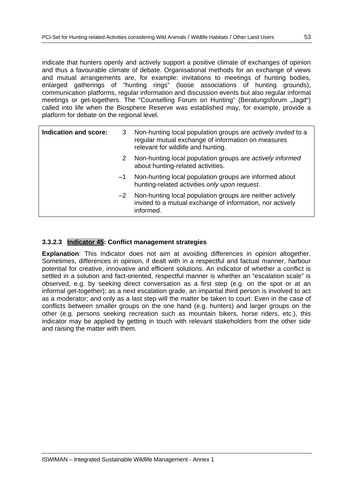indicate that hunters openly and actively support a positive climate of exchanges of opinion and thus a favourable climate of debate. Organisational methods for an exchange of views and mutual arrangements are, for example: invitations to meetings of hunting bodies, enlarged gatherings of "hunting rings" (loose associations of hunting grounds), communication platforms, regular information and discussion events but also regular informal meetings or get-togethers. The "Counselling Forum on Hunting" (Beratungsforum "Jagd") called into life when the Biosphere Reserve was established may, for example, provide a platform for debate on the regional level.

| Indication and score: | 3.   | Non-hunting local population groups are actively invited to a<br>regular mutual exchange of information on measures<br>relevant for wildlife and hunting. |
|-----------------------|------|-----------------------------------------------------------------------------------------------------------------------------------------------------------|
|                       | 2    | Non-hunting local population groups are actively informed<br>about hunting-related activities.                                                            |
|                       | $-1$ | Non-hunting local population groups are informed about<br>hunting-related activities only upon request.                                                   |
|                       |      | $-2$ Non-hunting local population groups are neither actively<br>invited to a mutual exchange of information, nor actively<br>informed.                   |
|                       |      |                                                                                                                                                           |

## **3.3.2.3 Indicator 45: Conflict management strategies**

**Explanation**: This Indicator does not aim at avoiding differences in opinion altogether. Sometimes, differences in opinion, if dealt with in a respectful and factual manner, harbour potential for creative, innovative and efficient solutions. An indicator of whether a conflict is settled in a solution and fact-oriented, respectful manner is whether an "escalation scale" is observed, e.g. by seeking direct conversation as a first step (e.g. on the spot or at an informal get-together); as a next escalation grade, an impartial third person is involved to act as a moderator; and only as a last step will the matter be taken to court. Even in the case of conflicts between smaller groups on the one hand (e.g. hunters) and larger groups on the other (e.g. persons seeking recreation such as mountain bikers, horse riders, etc.), this indicator may be applied by getting in touch with relevant stakeholders from the other side and raising the matter with them.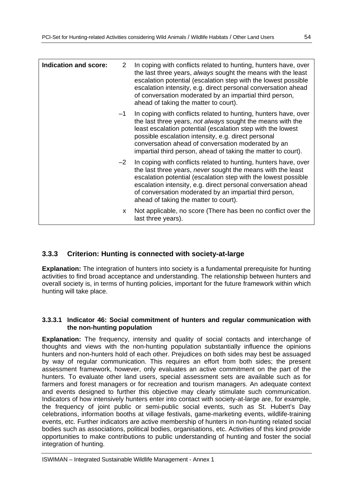| Indication and score: | 2    | In coping with conflicts related to hunting, hunters have, over<br>the last three years, always sought the means with the least<br>escalation potential (escalation step with the lowest possible<br>escalation intensity, e.g. direct personal conversation ahead<br>of conversation moderated by an impartial third person,<br>ahead of taking the matter to court).     |
|-----------------------|------|----------------------------------------------------------------------------------------------------------------------------------------------------------------------------------------------------------------------------------------------------------------------------------------------------------------------------------------------------------------------------|
|                       | $-1$ | In coping with conflicts related to hunting, hunters have, over<br>the last three years, not always sought the means with the<br>least escalation potential (escalation step with the lowest<br>possible escalation intensity, e.g. direct personal<br>conversation ahead of conversation moderated by an<br>impartial third person, ahead of taking the matter to court). |
|                       | $-2$ | In coping with conflicts related to hunting, hunters have, over<br>the last three years, never sought the means with the least<br>escalation potential (escalation step with the lowest possible<br>escalation intensity, e.g. direct personal conversation ahead<br>of conversation moderated by an impartial third person,<br>ahead of taking the matter to court).      |
|                       | X    | Not applicable, no score (There has been no conflict over the<br>last three years).                                                                                                                                                                                                                                                                                        |

## **3.3.3 Criterion: Hunting is connected with society-at-large**

**Explanation:** The integration of hunters into society is a fundamental prerequisite for hunting activities to find broad acceptance and understanding. The relationship between hunters and overall society is, in terms of hunting policies, important for the future framework within which hunting will take place.

## **3.3.3.1 Indicator 46: Social commitment of hunters and regular communication with the non-hunting population**

**Explanation:** The frequency, intensity and quality of social contacts and interchange of thoughts and views with the non-hunting population substantially influence the opinions hunters and non-hunters hold of each other. Prejudices on both sides may best be assuaged by way of regular communication. This requires an effort from both sides; the present assessment framework, however, only evaluates an active commitment on the part of the hunters. To evaluate other land users, special assessment sets are available such as for farmers and forest managers or for recreation and tourism managers. An adequate context and events designed to further this objective may clearly stimulate such communication. Indicators of how intensively hunters enter into contact with society-at-large are, for example, the frequency of joint public or semi-public social events, such as St. Hubert's Day celebrations, information booths at village festivals, game-marketing events, wildlife-training events, etc. Further indicators are active membership of hunters in non-hunting related social bodies such as associations, political bodies, organisations, etc. Activities of this kind provide opportunities to make contributions to public understanding of hunting and foster the social integration of hunting.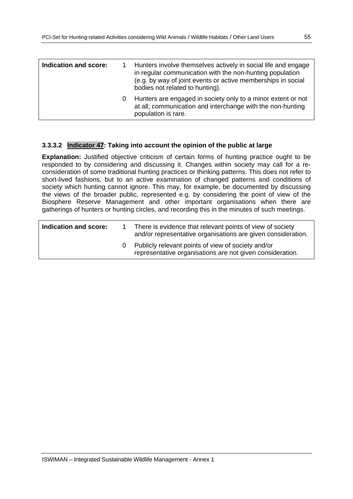| Indication and score: | Hunters involve themselves actively in social life and engage<br>in regular communication with the non-hunting population<br>(e.g. by way of joint events or active memberships in social<br>bodies not related to hunting). |
|-----------------------|------------------------------------------------------------------------------------------------------------------------------------------------------------------------------------------------------------------------------|
|                       | Hunters are engaged in society only to a minor extent or not<br>at all; communication and interchange with the non-hunting<br>population is rare.                                                                            |

#### **3.3.3.2 Indicator 47: Taking into account the opinion of the public at large**

**Explanation:** Justified objective criticism of certain forms of hunting practice ought to be responded to by considering and discussing it. Changes within society may call for a reconsideration of some traditional hunting practices or thinking patterns. This does not refer to short-lived fashions, but to an active examination of changed patterns and conditions of society which hunting cannot ignore. This may, for example, be documented by discussing the views of the broader public, represented e.g. by considering the point of view of the Biosphere Reserve Management and other important organisations when there are gatherings of hunters or hunting circles, and recording this in the minutes of such meetings.

| Indication and score: | There is evidence that relevant points of view of society<br>and/or representative organisations are given consideration. |
|-----------------------|---------------------------------------------------------------------------------------------------------------------------|
|                       | 0 Publicly relevant points of view of society and/or<br>representative organisations are not given consideration.         |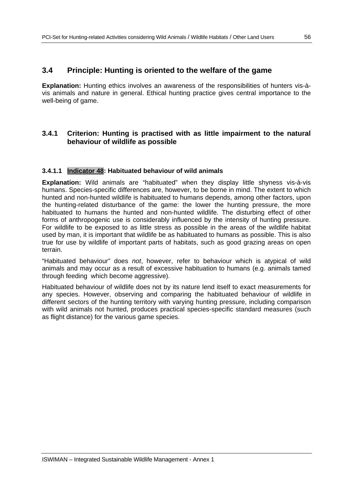## **3.4 Principle: Hunting is oriented to the welfare of the game**

**Explanation:** Hunting ethics involves an awareness of the responsibilities of hunters vis-àvis animals and nature in general. Ethical hunting practice gives central importance to the well-being of game.

## **3.4.1 Criterion: Hunting is practised with as little impairment to the natural behaviour of wildlife as possible**

#### **3.4.1.1 Indicator 48: Habituated behaviour of wild animals**

**Explanation:** Wild animals are "habituated" when they display little shyness vis-à-vis humans. Species-specific differences are, however, to be borne in mind. The extent to which hunted and non-hunted wildlife is habituated to humans depends, among other factors, upon the hunting-related disturbance of the game: the lower the hunting pressure, the more habituated to humans the hunted and non-hunted wildlife. The disturbing effect of other forms of anthropogenic use is considerably influenced by the intensity of hunting pressure. For wildlife to be exposed to as little stress as possible in the areas of the wildlife habitat used by man, it is important that wildlife be as habituated to humans as possible. This is also true for use by wildlife of important parts of habitats, such as good grazing areas on open terrain.

"Habituated behaviour" does *not*, however, refer to behaviour which is atypical of wild animals and may occur as a result of excessive habituation to humans (e.g. animals tamed through feeding which become aggressive).

Habituated behaviour of wildlife does not by its nature lend itself to exact measurements for any species. However, observing and comparing the habituated behaviour of wildlife in different sectors of the hunting territory with varying hunting pressure, including comparison with wild animals not hunted, produces practical species-specific standard measures (such as flight distance) for the various game species.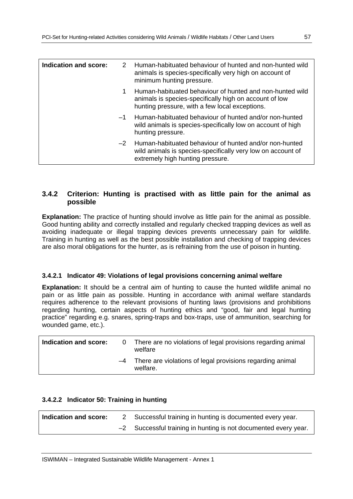| Indication and score: | 2    | Human-habituated behaviour of hunted and non-hunted wild<br>animals is species-specifically very high on account of<br>minimum hunting pressure.                     |
|-----------------------|------|----------------------------------------------------------------------------------------------------------------------------------------------------------------------|
|                       | 1.   | Human-habituated behaviour of hunted and non-hunted wild<br>animals is species-specifically high on account of low<br>hunting pressure, with a few local exceptions. |
|                       | $-1$ | Human-habituated behaviour of hunted and/or non-hunted<br>wild animals is species-specifically low on account of high<br>hunting pressure.                           |
|                       | $-2$ | Human-habituated behaviour of hunted and/or non-hunted<br>wild animals is species-specifically very low on account of<br>extremely high hunting pressure.            |

## **3.4.2 Criterion: Hunting is practised with as little pain for the animal as possible**

**Explanation:** The practice of hunting should involve as little pain for the animal as possible. Good hunting ability and correctly installed and regularly checked trapping devices as well as avoiding inadequate or illegal trapping devices prevents unnecessary pain for wildlife. Training in hunting as well as the best possible installation and checking of trapping devices are also moral obligations for the hunter, as is refraining from the use of poison in hunting.

## **3.4.2.1 Indicator 49: Violations of legal provisions concerning animal welfare**

**Explanation:** It should be a central aim of hunting to cause the hunted wildlife animal no pain or as little pain as possible. Hunting in accordance with animal welfare standards requires adherence to the relevant provisions of hunting laws (provisions and prohibitions regarding hunting, certain aspects of hunting ethics and "good, fair and legal hunting practice" regarding e.g. snares, spring-traps and box-traps, use of ammunition, searching for wounded game, etc.).

| Indication and score: | There are no violations of legal provisions regarding animal<br>welfare    |
|-----------------------|----------------------------------------------------------------------------|
|                       | $-4$ There are violations of legal provisions regarding animal<br>welfare. |

## **3.4.2.2 Indicator 50: Training in hunting**

| Indication and score: | Successful training in hunting is documented every year.        |
|-----------------------|-----------------------------------------------------------------|
|                       | -2 Successful training in hunting is not documented every year. |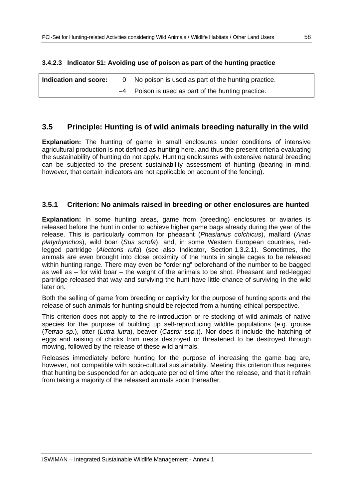## **3.4.2.3 Indicator 51: Avoiding use of poison as part of the hunting practice**

| Indication and score: | No poison is used as part of the hunting practice.   |
|-----------------------|------------------------------------------------------|
|                       | $-4$ Poison is used as part of the hunting practice. |

## **3.5 Principle: Hunting is of wild animals breeding naturally in the wild**

**Explanation:** The hunting of game in small enclosures under conditions of intensive agricultural production is not defined as hunting here, and thus the present criteria evaluating the sustainability of hunting do not apply. Hunting enclosures with extensive natural breeding can be subjected to the present sustainability assessment of hunting (bearing in mind, however, that certain indicators are not applicable on account of the fencing).

## **3.5.1 Criterion: No animals raised in breeding or other enclosures are hunted**

**Explanation:** In some hunting areas, game from (breeding) enclosures or aviaries is released before the hunt in order to achieve higher game bags already during the year of the release. This is particularly common for pheasant (*Phasianus colchicus*), mallard (*Anas platyrhynchos*), wild boar (*Sus scrofa*), and, in some Western European countries, redlegged partridge (*Alectoris rufa*) (see also Indicator, Section 1.3.2.1). Sometimes, the animals are even brought into close proximity of the hunts in single cages to be released within hunting range. There may even be "ordering" beforehand of the number to be bagged as well as – for wild boar – the weight of the animals to be shot. Pheasant and red-legged partridge released that way and surviving the hunt have little chance of surviving in the wild later on.

Both the selling of game from breeding or captivity for the purpose of hunting sports and the release of such animals for hunting should be rejected from a hunting-ethical perspective.

This criterion does not apply to the re-introduction or re-stocking of wild animals of native species for the purpose of building up self-reproducing wildlife populations (e.g. grouse (*Tetrao sp.*), otter (*Lutra lutra*), beaver (*Castor ssp.*)). Nor does it include the hatching of eggs and raising of chicks from nests destroyed or threatened to be destroyed through mowing, followed by the release of these wild animals.

Releases immediately before hunting for the purpose of increasing the game bag are, however, not compatible with socio-cultural sustainability. Meeting this criterion thus requires that hunting be suspended for an adequate period of time after the release, and that it refrain from taking a majority of the released animals soon thereafter.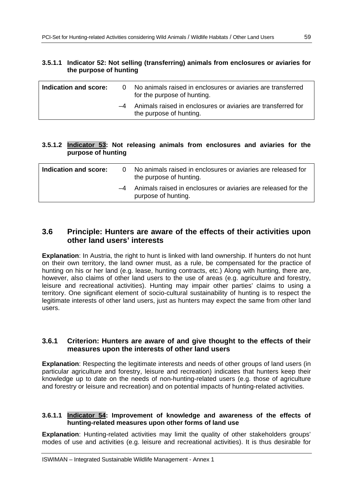| 3.5.1.1 Indicator 52: Not selling (transferring) animals from enclosures or aviaries for<br>the purpose of hunting |      |                                                                                              |
|--------------------------------------------------------------------------------------------------------------------|------|----------------------------------------------------------------------------------------------|
| Indication and score:                                                                                              |      | 0 No animals raised in enclosures or aviaries are transferred<br>for the purpose of hunting. |
|                                                                                                                    | $-4$ | Animals raised in enclosures or aviaries are transferred for<br>the purpose of hunting.      |

## **3.5.1.2 Indicator 53: Not releasing animals from enclosures and aviaries for the purpose of hunting**

| Indication and score: | 0 | No animals raised in enclosures or aviaries are released for<br>the purpose of hunting. |
|-----------------------|---|-----------------------------------------------------------------------------------------|
|                       |   | -4 Animals raised in enclosures or aviaries are released for the<br>purpose of hunting. |

## **3.6 Principle: Hunters are aware of the effects of their activities upon other land users' interests**

**Explanation**: In Austria, the right to hunt is linked with land ownership. If hunters do not hunt on their own territory, the land owner must, as a rule, be compensated for the practice of hunting on his or her land (e.g. lease, hunting contracts, etc.) Along with hunting, there are, however, also claims of other land users to the use of areas (e.g. agriculture and forestry, leisure and recreational activities). Hunting may impair other parties' claims to using a territory. One significant element of socio-cultural sustainability of hunting is to respect the legitimate interests of other land users, just as hunters may expect the same from other land users.

## **3.6.1 Criterion: Hunters are aware of and give thought to the effects of their measures upon the interests of other land users**

**Explanation**: Respecting the legitimate interests and needs of other groups of land users (in particular agriculture and forestry, leisure and recreation) indicates that hunters keep their knowledge up to date on the needs of non-hunting-related users (e.g. those of agriculture and forestry or leisure and recreation) and on potential impacts of hunting-related activities.

#### **3.6.1.1 Indicator 54: Improvement of knowledge and awareness of the effects of hunting-related measures upon other forms of land use**

**Explanation**: Hunting-related activities may limit the quality of other stakeholders groups' modes of use and activities (e.g. leisure and recreational activities). It is thus desirable for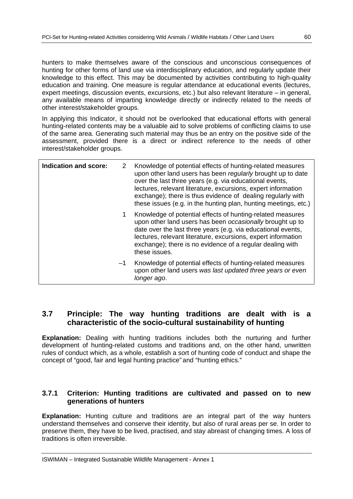hunters to make themselves aware of the conscious and unconscious consequences of hunting for other forms of land use via interdisciplinary education, and regularly update their knowledge to this effect. This may be documented by activities contributing to high-quality education and training. One measure is regular attendance at educational events (lectures, expert meetings, discussion events, excursions, etc.) but also relevant literature – in general, any available means of imparting knowledge directly or indirectly related to the needs of other interest/stakeholder groups.

In applying this Indicator, it should not be overlooked that educational efforts with general hunting-related contents may be a valuable aid to solve problems of conflicting claims to use of the same area. Generating such material may thus be an entry on the positive side of the assessment, provided there is a direct or indirect reference to the needs of other interest/stakeholder groups.

| Indication and score: | 2    | Knowledge of potential effects of hunting-related measures<br>upon other land users has been regularly brought up to date<br>over the last three years (e.g. via educational events,<br>lectures, relevant literature, excursions, expert information<br>exchange); there is thus evidence of dealing regularly with<br>these issues (e.g. in the hunting plan, hunting meetings, etc.) |
|-----------------------|------|-----------------------------------------------------------------------------------------------------------------------------------------------------------------------------------------------------------------------------------------------------------------------------------------------------------------------------------------------------------------------------------------|
|                       |      | Knowledge of potential effects of hunting-related measures<br>upon other land users has been occasionally brought up to<br>date over the last three years (e.g. via educational events,<br>lectures, relevant literature, excursions, expert information<br>exchange); there is no evidence of a regular dealing with<br>these issues.                                                  |
|                       | $-1$ | Knowledge of potential effects of hunting-related measures<br>upon other land users was last updated three years or even<br>longer ago.                                                                                                                                                                                                                                                 |

## **3.7 Principle: The way hunting traditions are dealt with is a characteristic of the socio-cultural sustainability of hunting**

**Explanation:** Dealing with hunting traditions includes both the nurturing and further development of hunting-related customs and traditions and, on the other hand, unwritten rules of conduct which, as a whole, establish a sort of hunting code of conduct and shape the concept of "good, fair and legal hunting practice" and "hunting ethics."

## **3.7.1 Criterion: Hunting traditions are cultivated and passed on to new generations of hunters**

**Explanation:** Hunting culture and traditions are an integral part of the way hunters understand themselves and conserve their identity, but also of rural areas per se. In order to preserve them, they have to be lived, practised, and stay abreast of changing times. A loss of traditions is often irreversible.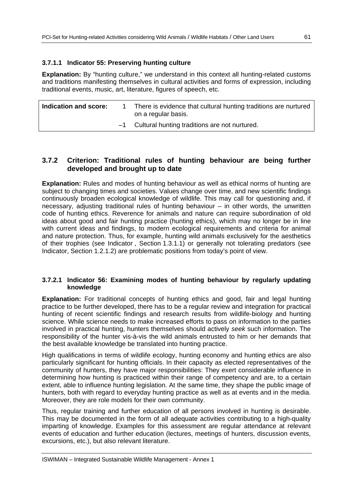## **3.7.1.1 Indicator 55: Preserving hunting culture**

**Explanation:** By "hunting culture," we understand in this context all hunting-related customs and traditions manifesting themselves in cultural activities and forms of expression, including traditional events, music, art, literature, figures of speech, etc.

| Indication and score: |      | There is evidence that cultural hunting traditions are nurtured<br>on a regular basis. |
|-----------------------|------|----------------------------------------------------------------------------------------|
|                       | $-1$ | Cultural hunting traditions are not nurtured.                                          |

## **3.7.2 Criterion: Traditional rules of hunting behaviour are being further developed and brought up to date**

**Explanation:** Rules and modes of hunting behaviour as well as ethical norms of hunting are subject to changing times and societies. Values change over time, and new scientific findings continuously broaden ecological knowledge of wildlife. This may call for questioning and, if necessary, adjusting traditional rules of hunting behaviour – in other words, the unwritten code of hunting ethics. Reverence for animals and nature can require subordination of old ideas about good and fair hunting practice (hunting ethics), which may no longer be in line with current ideas and findings, to modern ecological requirements and criteria for animal and nature protection. Thus, for example, hunting wild animals exclusively for the aesthetics of their trophies (see Indicator , Section 1.3.1.1) or generally not tolerating predators (see Indicator, Section 1.2.1.2) are problematic positions from today's point of view.

## **3.7.2.1 Indicator 56: Examining modes of hunting behaviour by regularly updating knowledge**

**Explanation:** For traditional concepts of hunting ethics and good, fair and legal hunting practice to be further developed, there has to be a regular review and integration for practical hunting of recent scientific findings and research results from wildlife-biology and hunting science. While science needs to make increased efforts to pass on information to the parties involved in practical hunting, hunters themselves should actively *seek* such information. The responsibility of the hunter vis-à-vis the wild animals entrusted to him or her demands that the best available knowledge be translated into hunting practice.

High qualifications in terms of wildlife ecology, hunting economy and hunting ethics are also particularly significant for hunting officials. In their capacity as elected representatives of the community of hunters, they have major responsibilities: They exert considerable influence in determining how hunting is practiced within their range of competency and are, to a certain extent, able to influence hunting legislation. At the same time, they shape the public image of hunters, both with regard to everyday hunting practice as well as at events and in the media. Moreover, they are role models for their own community.

Thus, regular training and further education of all persons involved in hunting is desirable. This may be documented in the form of all adequate activities contributing to a high-quality imparting of knowledge. Examples for this assessment are regular attendance at relevant events of education and further education (lectures, meetings of hunters, discussion events, excursions, etc.), but also relevant literature.